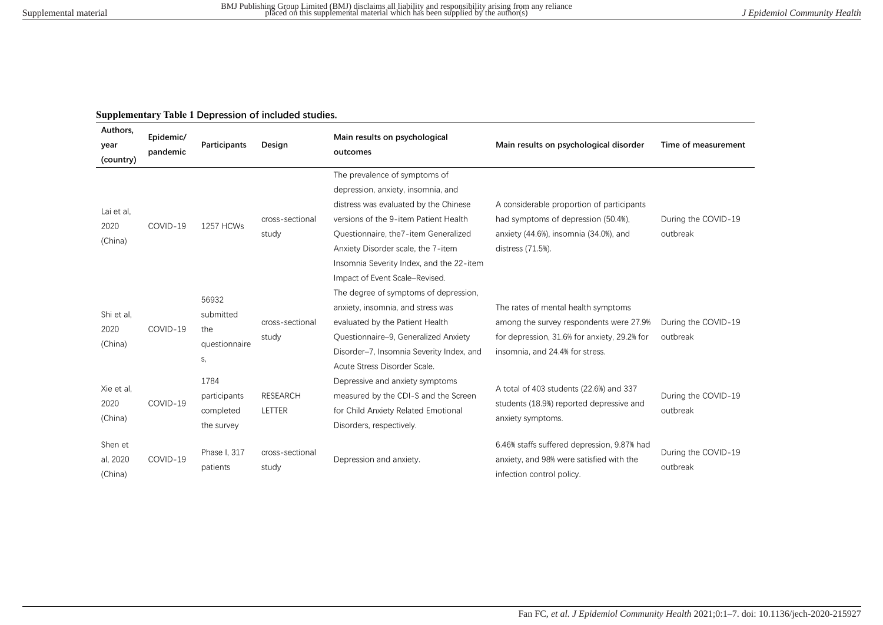## **Supplementary Table 1 Depression of included studies.**

| Authors,<br>year<br>(country)  | Epidemic/<br>pandemic | <b>Participants</b>                              | Design                    | Main results on psychological<br>outcomes                                                                                                                                                                                                                                                                          | Main results on psychological disorder                                                                                                                            | Time of measurement             |
|--------------------------------|-----------------------|--------------------------------------------------|---------------------------|--------------------------------------------------------------------------------------------------------------------------------------------------------------------------------------------------------------------------------------------------------------------------------------------------------------------|-------------------------------------------------------------------------------------------------------------------------------------------------------------------|---------------------------------|
| Lai et al,<br>2020<br>(China)  | COVID-19              | <b>1257 HCWs</b>                                 | cross-sectional<br>study  | The prevalence of symptoms of<br>depression, anxiety, insomnia, and<br>distress was evaluated by the Chinese<br>versions of the 9-item Patient Health<br>Ouestionnaire, the 7-item Generalized<br>Anxiety Disorder scale, the 7-item<br>Insomnia Severity Index, and the 22-item<br>Impact of Event Scale-Revised. | A considerable proportion of participants<br>had symptoms of depression (50.4%),<br>anxiety (44.6%), insomnia (34.0%), and<br>distress (71.5%).                   | During the COVID-19<br>outbreak |
| Shi et al,<br>2020<br>(China)  | COVID-19              | 56932<br>submitted<br>the<br>questionnaire<br>S, | cross-sectional<br>study  | The degree of symptoms of depression,<br>anxiety, insomnia, and stress was<br>evaluated by the Patient Health<br>Ouestionnaire-9, Generalized Anxiety<br>Disorder-7, Insomnia Severity Index, and<br>Acute Stress Disorder Scale.                                                                                  | The rates of mental health symptoms<br>among the survey respondents were 27.9%<br>for depression, 31.6% for anxiety, 29.2% for<br>insomnia, and 24.4% for stress. | During the COVID-19<br>outbreak |
| Xie et al.<br>2020<br>(China)  | COVID-19              | 1784<br>participants<br>completed<br>the survey  | <b>RESEARCH</b><br>LETTER | Depressive and anxiety symptoms<br>measured by the CDI-S and the Screen<br>for Child Anxiety Related Emotional<br>Disorders, respectively.                                                                                                                                                                         | A total of 403 students (22.6%) and 337<br>students (18.9%) reported depressive and<br>anxiety symptoms.                                                          | During the COVID-19<br>outbreak |
| Shen et<br>al, 2020<br>(China) | COVID-19              | Phase I, 317<br>patients                         | cross-sectional<br>study  | Depression and anxiety.                                                                                                                                                                                                                                                                                            | 6.46% staffs suffered depression, 9.87% had<br>anxiety, and 98% were satisfied with the<br>infection control policy.                                              | During the COVID-19<br>outbreak |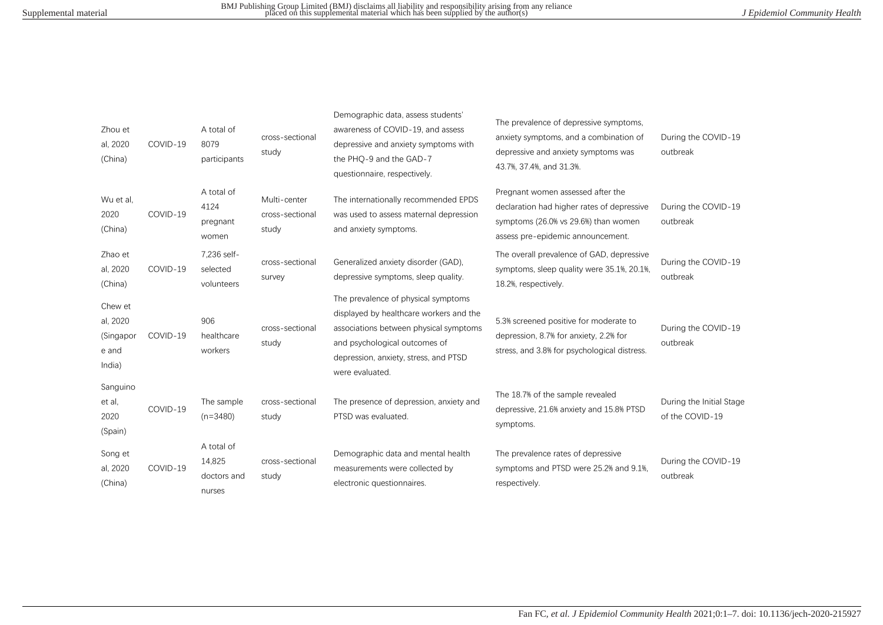| Zhou et<br>al, 2020<br>(China)                      | COVID-19 | A total of<br>8079<br>participants            | cross-sectional<br>study                 | Demographic data, assess students'<br>awareness of COVID-19, and assess<br>depressive and anxiety symptoms with<br>the PHQ-9 and the GAD-7<br>questionnaire, respectively.                                            | The prevalence of depressive symptoms,<br>anxiety symptoms, and a combination of<br>depressive and anxiety symptoms was<br>43.7%, 37.4%, and 31.3%.          | During the COVID-19<br>outbreak             |
|-----------------------------------------------------|----------|-----------------------------------------------|------------------------------------------|-----------------------------------------------------------------------------------------------------------------------------------------------------------------------------------------------------------------------|--------------------------------------------------------------------------------------------------------------------------------------------------------------|---------------------------------------------|
| Wu et al,<br>2020<br>(China)                        | COVID-19 | A total of<br>4124<br>pregnant<br>women       | Multi-center<br>cross-sectional<br>study | The internationally recommended EPDS<br>was used to assess maternal depression<br>and anxiety symptoms.                                                                                                               | Pregnant women assessed after the<br>declaration had higher rates of depressive<br>symptoms (26.0% vs 29.6%) than women<br>assess pre-epidemic announcement. | During the COVID-19<br>outbreak             |
| Zhao et<br>al, 2020<br>(China)                      | COVID-19 | 7,236 self-<br>selected<br>volunteers         | cross-sectional<br>survey                | Generalized anxiety disorder (GAD),<br>depressive symptoms, sleep quality.                                                                                                                                            | The overall prevalence of GAD, depressive<br>symptoms, sleep quality were 35.1%, 20.1%,<br>18.2%, respectively.                                              | During the COVID-19<br>outbreak             |
| Chew et<br>al, 2020<br>(Singapor<br>e and<br>India) | COVID-19 | 906<br>healthcare<br>workers                  | cross-sectional<br>study                 | The prevalence of physical symptoms<br>displayed by healthcare workers and the<br>associations between physical symptoms<br>and psychological outcomes of<br>depression, anxiety, stress, and PTSD<br>were evaluated. | 5.3% screened positive for moderate to<br>depression, 8.7% for anxiety, 2.2% for<br>stress, and 3.8% for psychological distress.                             | During the COVID-19<br>outbreak             |
| Sanguino<br>et al,<br>2020<br>(Spain)               | COVID-19 | The sample<br>$(n=3480)$                      | cross-sectional<br>study                 | The presence of depression, anxiety and<br>PTSD was evaluated.                                                                                                                                                        | The 18.7% of the sample revealed<br>depressive, 21.6% anxiety and 15.8% PTSD<br>symptoms.                                                                    | During the Initial Stage<br>of the COVID-19 |
| Song et<br>al, 2020<br>(China)                      | COVID-19 | A total of<br>14,825<br>doctors and<br>nurses | cross-sectional<br>study                 | Demographic data and mental health<br>measurements were collected by<br>electronic questionnaires.                                                                                                                    | The prevalence rates of depressive<br>symptoms and PTSD were 25.2% and 9.1%.<br>respectively.                                                                | During the COVID-19<br>outbreak             |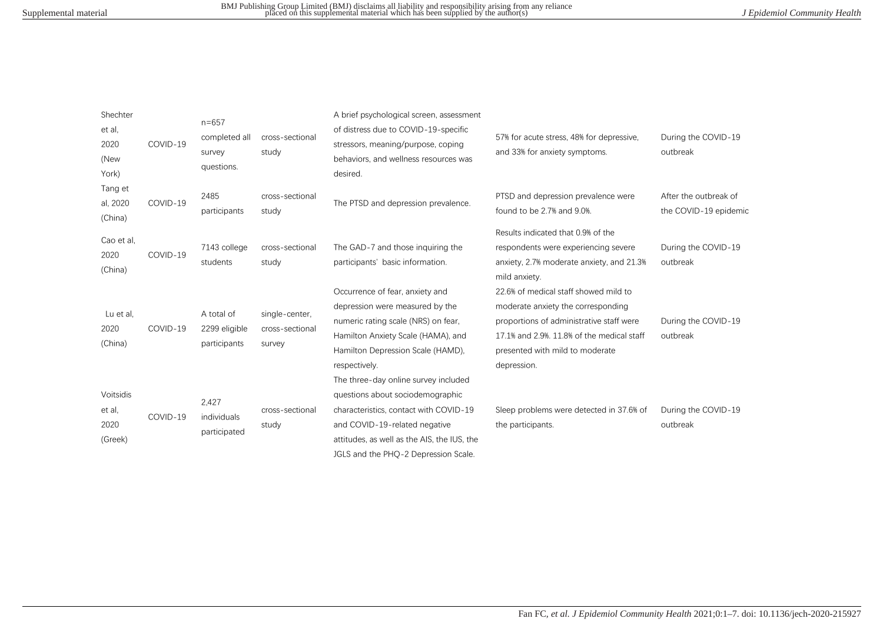| Shechter<br>et al,<br>2020<br>(New<br>York) | COVID-19 | $n = 657$<br>completed all<br>survey<br>questions. | cross-sectional<br>study                    | A brief psychological screen, assessment<br>of distress due to COVID-19-specific<br>stressors, meaning/purpose, coping<br>behaviors, and wellness resources was<br>desired.                                                                | 57% for acute stress, 48% for depressive,<br>and 33% for anxiety symptoms.                                                                                                                                              | During the COVID-19<br>outbreak                |
|---------------------------------------------|----------|----------------------------------------------------|---------------------------------------------|--------------------------------------------------------------------------------------------------------------------------------------------------------------------------------------------------------------------------------------------|-------------------------------------------------------------------------------------------------------------------------------------------------------------------------------------------------------------------------|------------------------------------------------|
| Tang et<br>al, 2020<br>(China)              | COVID-19 | 2485<br>participants                               | cross-sectional<br>study                    | The PTSD and depression prevalence.                                                                                                                                                                                                        | PTSD and depression prevalence were<br>found to be 2.7% and 9.0%.                                                                                                                                                       | After the outbreak of<br>the COVID-19 epidemic |
| Cao et al,<br>2020<br>(China)               | COVID-19 | 7143 college<br>students                           | cross-sectional<br>study                    | The GAD-7 and those inquiring the<br>participants' basic information.                                                                                                                                                                      | Results indicated that 0.9% of the<br>respondents were experiencing severe<br>anxiety, 2.7% moderate anxiety, and 21.3%<br>mild anxiety.                                                                                | During the COVID-19<br>outbreak                |
| Lu et al,<br>2020<br>(China)                | COVID-19 | A total of<br>2299 eligible<br>participants        | single-center,<br>cross-sectional<br>survey | Occurrence of fear, anxiety and<br>depression were measured by the<br>numeric rating scale (NRS) on fear,<br>Hamilton Anxiety Scale (HAMA), and<br>Hamilton Depression Scale (HAMD),<br>respectively.                                      | 22.6% of medical staff showed mild to<br>moderate anxiety the corresponding<br>proportions of administrative staff were<br>17.1% and 2.9%, 11.8% of the medical staff<br>presented with mild to moderate<br>depression. | During the COVID-19<br>outbreak                |
| Voitsidis<br>et al,<br>2020<br>(Greek)      | COVID-19 | 2,427<br>individuals<br>participated               | cross-sectional<br>study                    | The three-day online survey included<br>questions about sociodemographic<br>characteristics, contact with COVID-19<br>and COVID-19-related negative<br>attitudes, as well as the AIS, the IUS, the<br>JGLS and the PHQ-2 Depression Scale. | Sleep problems were detected in 37.6% of<br>the participants.                                                                                                                                                           | During the COVID-19<br>outbreak                |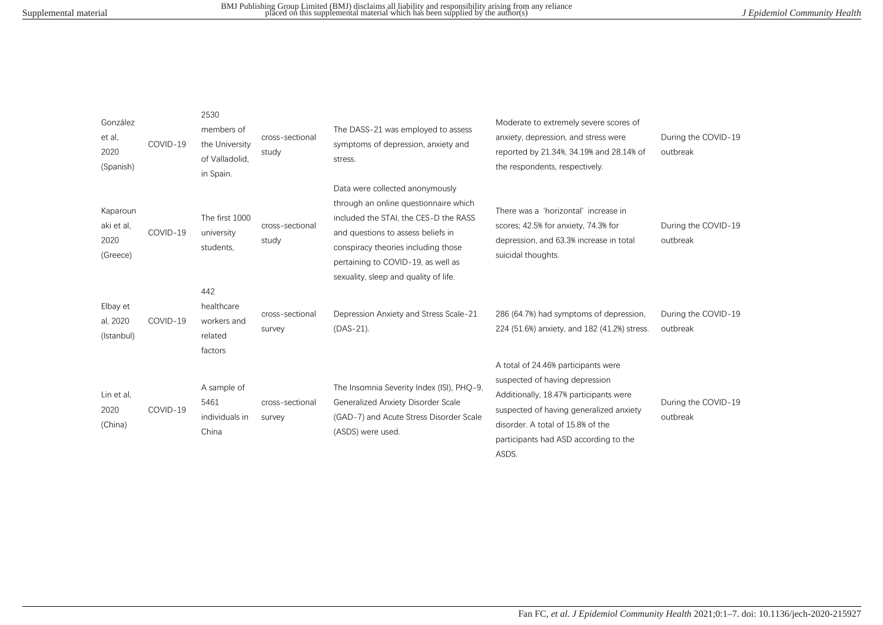| González<br>et al.<br>2020<br>(Spanish)    | COVID-19 | 2530<br>members of<br>the University<br>of Valladolid,<br>in Spain. | cross-sectional<br>study  | The DASS-21 was employed to assess<br>symptoms of depression, anxiety and<br>stress.                                                                                                                                                                                          | Moderate to extremely severe scores of<br>anxiety, depression, and stress were<br>reported by 21.34%, 34.19% and 28.14% of<br>the respondents, respectively.                                                                                      | During the COVID-19<br>outbreak |
|--------------------------------------------|----------|---------------------------------------------------------------------|---------------------------|-------------------------------------------------------------------------------------------------------------------------------------------------------------------------------------------------------------------------------------------------------------------------------|---------------------------------------------------------------------------------------------------------------------------------------------------------------------------------------------------------------------------------------------------|---------------------------------|
| Kaparoun<br>aki et al.<br>2020<br>(Greece) | COVID-19 | The first 1000<br>university<br>students.                           | cross-sectional<br>study  | Data were collected anonymously<br>through an online questionnaire which<br>included the STAI, the CES-D the RASS<br>and questions to assess beliefs in<br>conspiracy theories including those<br>pertaining to COVID-19, as well as<br>sexuality, sleep and quality of life. | There was a 'horizontal' increase in<br>scores; 42.5% for anxiety, 74.3% for<br>depression, and 63.3% increase in total<br>suicidal thoughts.                                                                                                     | During the COVID-19<br>outbreak |
| Elbay et<br>al, 2020<br>(Istanbul)         | COVID-19 | 442<br>healthcare<br>workers and<br>related<br>factors              | cross-sectional<br>survey | Depression Anxiety and Stress Scale-21<br>$(DAS-21)$ .                                                                                                                                                                                                                        | 286 (64.7%) had symptoms of depression,<br>224 (51.6%) anxiety, and 182 (41.2%) stress.                                                                                                                                                           | During the COVID-19<br>outbreak |
| Lin et al.<br>2020<br>(China)              | COVID-19 | A sample of<br>5461<br>individuals in<br>China                      | cross-sectional<br>survey | The Insomnia Severity Index (ISI), PHQ-9,<br>Generalized Anxiety Disorder Scale<br>(GAD-7) and Acute Stress Disorder Scale<br>(ASDS) were used.                                                                                                                               | A total of 24.46% participants were<br>suspected of having depression<br>Additionally, 18.47% participants were<br>suspected of having generalized anxiety<br>disorder. A total of 15.8% of the<br>participants had ASD according to the<br>ASDS. | During the COVID-19<br>outbreak |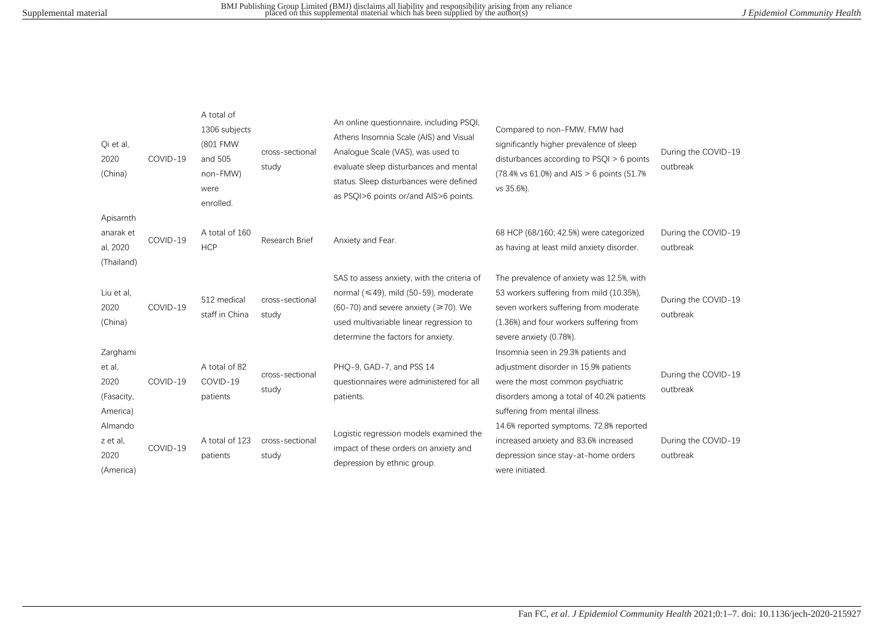| Qi et al,<br>2020<br>(China)                         | COVID-19 | A total of<br>1306 subjects<br>(801 FMW<br>and 505<br>non-FMW)<br>were<br>enrolled. | cross-sectional<br>study | An online questionnaire, including PSQI,<br>Athens Insomnia Scale (AIS) and Visual<br>Analogue Scale (VAS), was used to<br>evaluate sleep disturbances and mental<br>status. Sleep disturbances were defined<br>as PSOI>6 points or/and AIS>6 points. | Compared to non-FMW, FMW had<br>significantly higher prevalence of sleep<br>disturbances according to $PSQI > 6$ points<br>(78.4% vs 61.0%) and AIS > 6 points (51.7%)<br>vs 35.6%).                 | During the COVID-19<br>outbreak |
|------------------------------------------------------|----------|-------------------------------------------------------------------------------------|--------------------------|-------------------------------------------------------------------------------------------------------------------------------------------------------------------------------------------------------------------------------------------------------|------------------------------------------------------------------------------------------------------------------------------------------------------------------------------------------------------|---------------------------------|
| Apisarnth<br>anarak et<br>al, 2020<br>(Thailand)     | COVID-19 | A total of 160<br><b>HCP</b>                                                        | Research Brief           | Anxiety and Fear.                                                                                                                                                                                                                                     | 68 HCP (68/160; 42.5%) were categorized<br>as having at least mild anxiety disorder.                                                                                                                 | During the COVID-19<br>outbreak |
| Liu et al,<br>2020<br>(China)                        | COVID-19 | 512 medical<br>staff in China                                                       | cross-sectional<br>study | SAS to assess anxiety, with the criteria of<br>normal ( $\leq$ 49), mild (50-59), moderate<br>$(60-70)$ and severe anxiety ( $\geq 70$ ). We<br>used multivariable linear regression to<br>determine the factors for anxiety.                         | The prevalence of anxiety was 12.5%, with<br>53 workers suffering from mild (10.35%),<br>seven workers suffering from moderate<br>(1.36%) and four workers suffering from<br>severe anxiety (0.78%). | During the COVID-19<br>outbreak |
| Zarghami<br>et al.<br>2020<br>(Fasacity,<br>America) | COVID-19 | A total of 82<br>COVID-19<br>patients                                               | cross-sectional<br>study | PHO-9, GAD-7, and PSS 14<br>questionnaires were administered for all<br>patients.                                                                                                                                                                     | Insomnia seen in 29.3% patients and<br>adjustment disorder in 15.9% patients<br>were the most common psychiatric<br>disorders among a total of 40.2% patients<br>suffering from mental illness.      | During the COVID-19<br>outbreak |
| Almando<br>z et al,<br>2020<br>(America)             | COVID-19 | A total of 123<br>patients                                                          | cross-sectional<br>study | Logistic regression models examined the<br>impact of these orders on anxiety and<br>depression by ethnic group.                                                                                                                                       | 14.6% reported symptoms. 72.8% reported<br>increased anxiety and 83.6% increased<br>depression since stay-at-home orders<br>were initiated.                                                          | During the COVID-19<br>outbreak |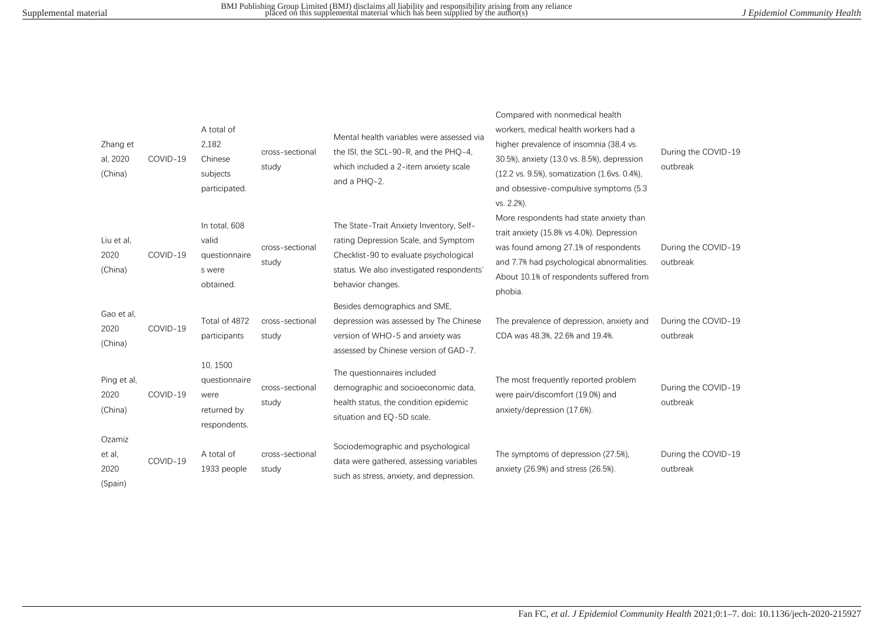| Zhang et<br>al, 2020<br>(China)     | COVID-19 | A total of<br>2,182<br>Chinese<br>subjects<br>participated.      | cross-sectional<br>study | Mental health variables were assessed via<br>the ISI, the SCL-90-R, and the PHQ-4,<br>which included a 2-item anxiety scale<br>and a PHO-2.                                                  | Compared with nonmedical health<br>workers, medical health workers had a<br>higher prevalence of insomnia (38.4 vs.<br>30.5%), anxiety (13.0 vs. 8.5%), depression<br>(12.2 vs. 9.5%), somatization (1.6vs. 0.4%),<br>and obsessive-compulsive symptoms (5.3<br>vs. 2.2%). | During the COVID-19<br>outbreak |
|-------------------------------------|----------|------------------------------------------------------------------|--------------------------|----------------------------------------------------------------------------------------------------------------------------------------------------------------------------------------------|----------------------------------------------------------------------------------------------------------------------------------------------------------------------------------------------------------------------------------------------------------------------------|---------------------------------|
| Liu et al.<br>2020<br>(China)       | COVID-19 | In total, 608<br>valid<br>questionnaire<br>s were<br>obtained.   | cross-sectional<br>study | The State-Trait Anxiety Inventory, Self-<br>rating Depression Scale, and Symptom<br>Checklist-90 to evaluate psychological<br>status. We also investigated respondents'<br>behavior changes. | More respondents had state anxiety than<br>trait anxiety (15.8% vs 4.0%). Depression<br>was found among 27.1% of respondents<br>and 7.7% had psychological abnormalities.<br>About 10.1% of respondents suffered from<br>phobia.                                           | During the COVID-19<br>outbreak |
| Gao et al.<br>2020<br>(China)       | COVID-19 | Total of 4872<br>participants                                    | cross-sectional<br>study | Besides demographics and SME,<br>depression was assessed by The Chinese<br>version of WHO-5 and anxiety was<br>assessed by Chinese version of GAD-7.                                         | The prevalence of depression, anxiety and<br>CDA was 48.3%, 22.6% and 19.4%.                                                                                                                                                                                               | During the COVID-19<br>outbreak |
| Ping et al,<br>2020<br>(China)      | COVID-19 | 10, 1500<br>questionnaire<br>were<br>returned by<br>respondents. | cross-sectional<br>study | The questionnaires included<br>demographic and socioeconomic data,<br>health status, the condition epidemic<br>situation and EQ-5D scale.                                                    | The most frequently reported problem<br>were pain/discomfort (19.0%) and<br>anxiety/depression (17.6%).                                                                                                                                                                    | During the COVID-19<br>outbreak |
| Ozamiz<br>et al,<br>2020<br>(Spain) | COVID-19 | A total of<br>1933 people                                        | cross-sectional<br>study | Sociodemographic and psychological<br>data were gathered, assessing variables<br>such as stress, anxiety, and depression.                                                                    | The symptoms of depression (27.5%),<br>anxiety (26.9%) and stress (26.5%).                                                                                                                                                                                                 | During the COVID-19<br>outbreak |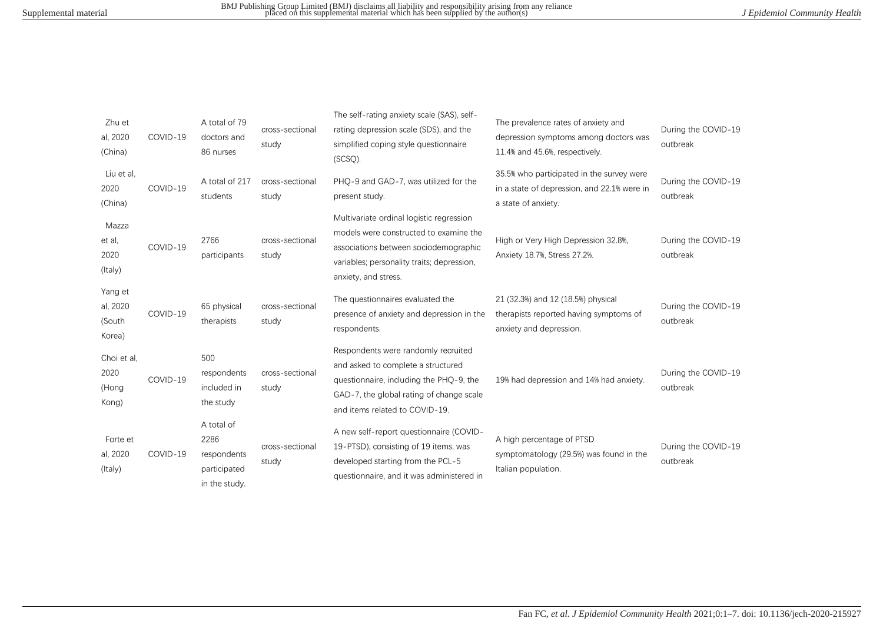| Zhu et<br>al, 2020<br>(China)           | COVID-19 | A total of 79<br>doctors and<br>86 nurses                          | cross-sectional<br>study | The self-rating anxiety scale (SAS), self-<br>rating depression scale (SDS), and the<br>simplified coping style questionnaire<br>$(SCSQ)$ .                                                        | The prevalence rates of anxiety and<br>depression symptoms among doctors was<br>11.4% and 45.6%, respectively.  | During the COVID-19<br>outbreak |
|-----------------------------------------|----------|--------------------------------------------------------------------|--------------------------|----------------------------------------------------------------------------------------------------------------------------------------------------------------------------------------------------|-----------------------------------------------------------------------------------------------------------------|---------------------------------|
| Liu et al,<br>2020<br>(China)           | COVID-19 | A total of 217<br>students                                         | cross-sectional<br>study | PHO-9 and GAD-7, was utilized for the<br>present study.                                                                                                                                            | 35.5% who participated in the survey were<br>in a state of depression, and 22.1% were in<br>a state of anxiety. | During the COVID-19<br>outbreak |
| Mazza<br>et al,<br>2020<br>(Italy)      | COVID-19 | 2766<br>participants                                               | cross-sectional<br>study | Multivariate ordinal logistic regression<br>models were constructed to examine the<br>associations between sociodemographic<br>variables; personality traits; depression,<br>anxiety, and stress.  | High or Very High Depression 32.8%,<br>Anxiety 18.7%, Stress 27.2%.                                             | During the COVID-19<br>outbreak |
| Yang et<br>al, 2020<br>(South<br>Korea) | COVID-19 | 65 physical<br>therapists                                          | cross-sectional<br>study | The questionnaires evaluated the<br>presence of anxiety and depression in the<br>respondents.                                                                                                      | 21 (32.3%) and 12 (18.5%) physical<br>therapists reported having symptoms of<br>anxiety and depression.         | During the COVID-19<br>outbreak |
| Choi et al,<br>2020<br>(Hong<br>Kong)   | COVID-19 | 500<br>respondents<br>included in<br>the study                     | cross-sectional<br>study | Respondents were randomly recruited<br>and asked to complete a structured<br>questionnaire, including the PHQ-9, the<br>GAD-7, the global rating of change scale<br>and items related to COVID-19. | 19% had depression and 14% had anxiety.                                                                         | During the COVID-19<br>outbreak |
| Forte et<br>al, 2020<br>(Italy)         | COVID-19 | A total of<br>2286<br>respondents<br>participated<br>in the study. | cross-sectional<br>study | A new self-report questionnaire (COVID-<br>19-PTSD), consisting of 19 items, was<br>developed starting from the PCL-5<br>questionnaire, and it was administered in                                 | A high percentage of PTSD<br>symptomatology (29.5%) was found in the<br>Italian population.                     | During the COVID-19<br>outbreak |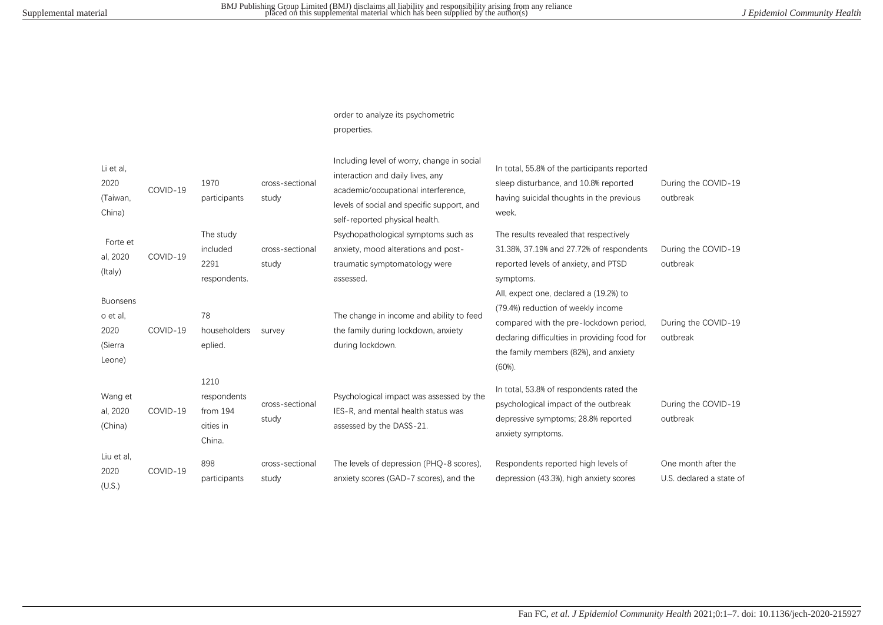## order to analyze its psychometric properties.

| Li et al,<br>2020<br>(Taiwan,<br>China)                  | COVID-19 | 1970<br>participants                                   | cross-sectional<br>study | Including level of worry, change in social<br>interaction and daily lives, any<br>academic/occupational interference,<br>levels of social and specific support, and<br>self-reported physical health. | In total, 55.8% of the participants reported<br>sleep disturbance, and 10.8% reported<br>having suicidal thoughts in the previous<br>week.                                                                                | During the COVID-19<br>outbreak                 |
|----------------------------------------------------------|----------|--------------------------------------------------------|--------------------------|-------------------------------------------------------------------------------------------------------------------------------------------------------------------------------------------------------|---------------------------------------------------------------------------------------------------------------------------------------------------------------------------------------------------------------------------|-------------------------------------------------|
| Forte et<br>al, 2020<br>(Italy)                          | COVID-19 | The study<br>included<br>2291<br>respondents.          | cross-sectional<br>study | Psychopathological symptoms such as<br>anxiety, mood alterations and post-<br>traumatic symptomatology were<br>assessed.                                                                              | The results revealed that respectively<br>31.38%, 37.19% and 27.72% of respondents<br>reported levels of anxiety, and PTSD<br>symptoms.                                                                                   | During the COVID-19<br>outbreak                 |
| <b>Buonsens</b><br>o et al.<br>2020<br>(Sierra<br>Leone) | COVID-19 | 78<br>householders<br>eplied.                          | survey                   | The change in income and ability to feed<br>the family during lockdown, anxiety<br>during lockdown.                                                                                                   | All, expect one, declared a (19.2%) to<br>(79.4%) reduction of weekly income<br>compared with the pre-lockdown period,<br>declaring difficulties in providing food for<br>the family members (82%), and anxiety<br>(60%). | During the COVID-19<br>outbreak                 |
| Wang et<br>al, 2020<br>(China)                           | COVID-19 | 1210<br>respondents<br>from 194<br>cities in<br>China. | cross-sectional<br>study | Psychological impact was assessed by the<br>IES-R, and mental health status was<br>assessed by the DASS-21.                                                                                           | In total, 53.8% of respondents rated the<br>psychological impact of the outbreak<br>depressive symptoms; 28.8% reported<br>anxiety symptoms.                                                                              | During the COVID-19<br>outbreak                 |
| Liu et al,<br>2020<br>(U.S.)                             | COVID-19 | 898<br>participants                                    | cross-sectional<br>study | The levels of depression (PHQ-8 scores),<br>anxiety scores (GAD-7 scores), and the                                                                                                                    | Respondents reported high levels of<br>depression (43.3%), high anxiety scores                                                                                                                                            | One month after the<br>U.S. declared a state of |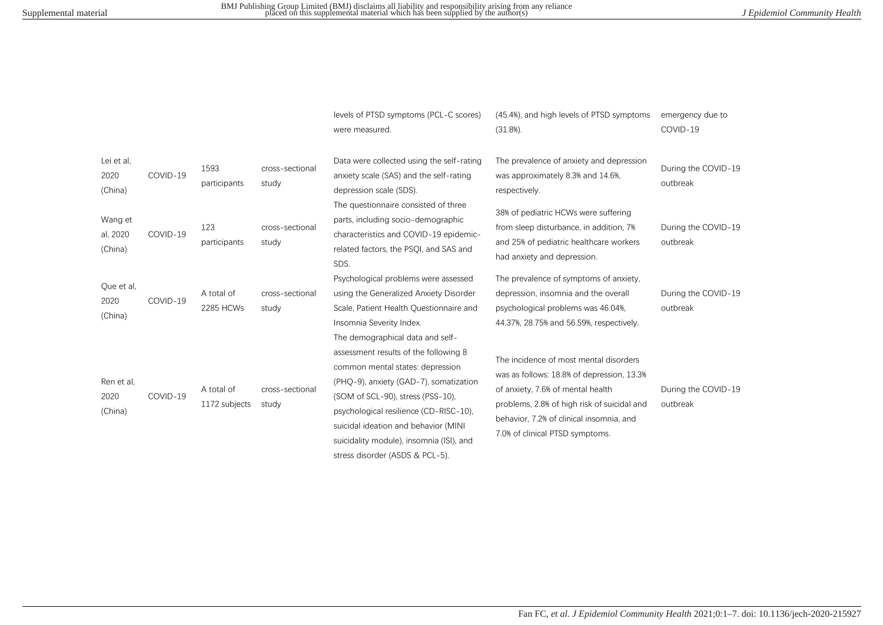|                                |          |                             |                          | levels of PTSD symptoms (PCL-C scores)<br>were measured.                                                                                                                                                                                                                               | (45.4%), and high levels of PTSD symptoms<br>(31.8%).                                                                                                                                                                                                   | emergency due to<br>COVID-19    |
|--------------------------------|----------|-----------------------------|--------------------------|----------------------------------------------------------------------------------------------------------------------------------------------------------------------------------------------------------------------------------------------------------------------------------------|---------------------------------------------------------------------------------------------------------------------------------------------------------------------------------------------------------------------------------------------------------|---------------------------------|
| Lei et al.<br>2020<br>(China)  | COVID-19 | 1593<br>participants        | cross-sectional<br>study | Data were collected using the self-rating<br>anxiety scale (SAS) and the self-rating<br>depression scale (SDS).<br>The questionnaire consisted of three                                                                                                                                | The prevalence of anxiety and depression<br>was approximately 8.3% and 14.6%,<br>respectively.                                                                                                                                                          | During the COVID-19<br>outbreak |
| Wang et<br>al, 2020<br>(China) | COVID-19 | 123<br>participants         | cross-sectional<br>study | parts, including socio-demographic<br>characteristics and COVID-19 epidemic-<br>related factors, the PSOI, and SAS and<br>SDS.                                                                                                                                                         | 38% of pediatric HCWs were suffering<br>from sleep disturbance, in addition, 7%<br>and 25% of pediatric healthcare workers<br>had anxiety and depression.                                                                                               | During the COVID-19<br>outbreak |
| Que et al,<br>2020<br>(China)  | COVID-19 | A total of<br>2285 HCWs     | cross-sectional<br>study | Psychological problems were assessed<br>using the Generalized Anxiety Disorder<br>Scale, Patient Health Questionnaire and<br>Insomnia Severity Index.<br>The demographical data and self-                                                                                              | The prevalence of symptoms of anxiety,<br>depression, insomnia and the overall<br>psychological problems was 46.04%,<br>44.37%, 28.75% and 56.59%, respectively.                                                                                        | During the COVID-19<br>outbreak |
| Ren et al,<br>2020<br>(China)  | COVID-19 | A total of<br>1172 subjects | cross-sectional<br>study | assessment results of the following 8<br>common mental states: depression<br>(PHQ-9), anxiety (GAD-7), somatization<br>(SOM of SCL-90), stress (PSS-10),<br>psychological resilience (CD-RISC-10).<br>suicidal ideation and behavior (MINI<br>suicidality module), insomnia (ISI), and | The incidence of most mental disorders<br>was as follows: 18.8% of depression, 13.3%<br>of anxiety, 7.6% of mental health<br>problems, 2.8% of high risk of suicidal and<br>behavior, 7.2% of clinical insomnia, and<br>7.0% of clinical PTSD symptoms. | During the COVID-19<br>outbreak |

stress disorder (ASDS & PCL-5).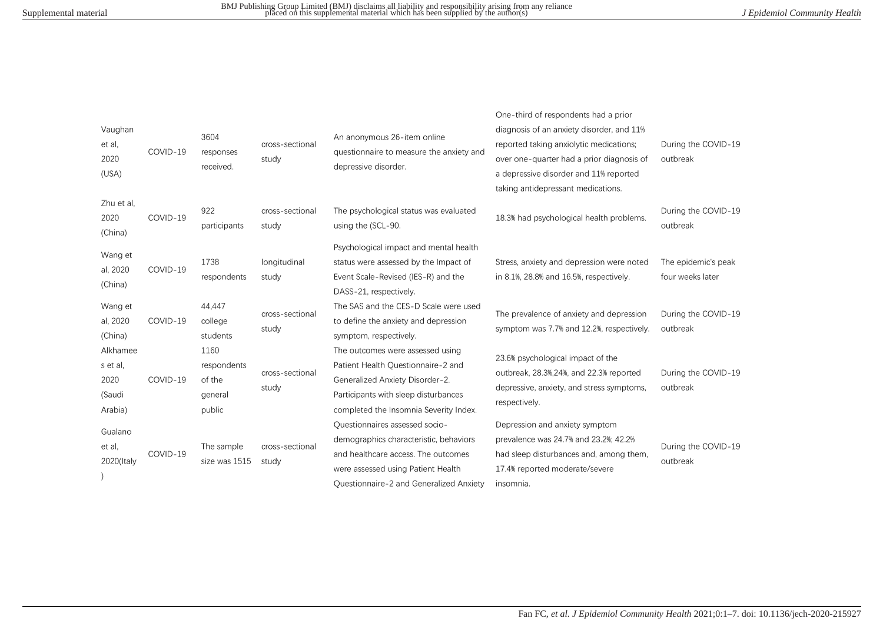| Vaughan<br>et al,<br>2020<br>(USA)                | COVID-19 | 3604<br>responses<br>received.                     | cross-sectional<br>study | An anonymous 26-item online<br>questionnaire to measure the anxiety and<br>depressive disorder.                                                                                                  | One-third of respondents had a prior<br>diagnosis of an anxiety disorder, and 11%<br>reported taking anxiolytic medications;<br>over one-quarter had a prior diagnosis of<br>a depressive disorder and 11% reported<br>taking antidepressant medications. | During the COVID-19<br>outbreak         |
|---------------------------------------------------|----------|----------------------------------------------------|--------------------------|--------------------------------------------------------------------------------------------------------------------------------------------------------------------------------------------------|-----------------------------------------------------------------------------------------------------------------------------------------------------------------------------------------------------------------------------------------------------------|-----------------------------------------|
| Zhu et al.<br>2020<br>(China)                     | COVID-19 | 922<br>participants                                | cross-sectional<br>study | The psychological status was evaluated<br>using the (SCL-90.                                                                                                                                     | 18.3% had psychological health problems.                                                                                                                                                                                                                  | During the COVID-19<br>outbreak         |
| Wang et<br>al, 2020<br>(China)                    | COVID-19 | 1738<br>respondents                                | longitudinal<br>study    | Psychological impact and mental health<br>status were assessed by the Impact of<br>Event Scale-Revised (IES-R) and the<br>DASS-21, respectively.                                                 | Stress, anxiety and depression were noted<br>in 8.1%, 28.8% and 16.5%, respectively.                                                                                                                                                                      | The epidemic's peak<br>four weeks later |
| Wang et<br>al, 2020<br>(China)                    | COVID-19 | 44,447<br>college<br>students                      | cross-sectional<br>study | The SAS and the CES-D Scale were used<br>to define the anxiety and depression<br>symptom, respectively.                                                                                          | The prevalence of anxiety and depression<br>symptom was 7.7% and 12.2%, respectively.                                                                                                                                                                     | During the COVID-19<br>outbreak         |
| Alkhamee<br>s et al,<br>2020<br>(Saudi<br>Arabia) | COVID-19 | 1160<br>respondents<br>of the<br>general<br>public | cross-sectional<br>study | The outcomes were assessed using<br>Patient Health Ouestionnaire-2 and<br>Generalized Anxiety Disorder-2.<br>Participants with sleep disturbances<br>completed the Insomnia Severity Index.      | 23.6% psychological impact of the<br>outbreak, 28.3%, 24%, and 22.3% reported<br>depressive, anxiety, and stress symptoms,<br>respectively.                                                                                                               | During the COVID-19<br>outbreak         |
| Gualano<br>et al,<br>2020(Italy                   | COVID-19 | The sample<br>size was 1515                        | cross-sectional<br>study | Questionnaires assessed socio-<br>demographics characteristic, behaviors<br>and healthcare access. The outcomes<br>were assessed using Patient Health<br>Ouestionnaire-2 and Generalized Anxiety | Depression and anxiety symptom<br>prevalence was 24.7% and 23.2%; 42.2%<br>had sleep disturbances and, among them,<br>17.4% reported moderate/severe<br>insomnia.                                                                                         | During the COVID-19<br>outbreak         |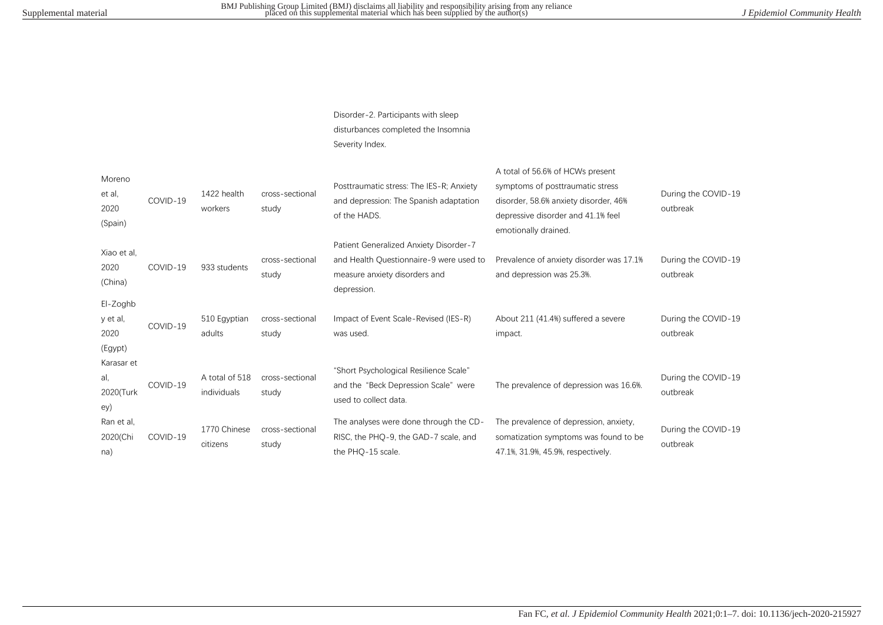Disorder-2. Participants with sleep disturbances completed the Insomnia Severity Index.

| Moreno<br>et al,<br>2020<br>(Spain)     | COVID-19 | 1422 health<br>workers        | cross-sectional<br>study | Posttraumatic stress: The IES-R; Anxiety<br>and depression: The Spanish adaptation<br>of the HADS.                                | A total of 56.6% of HCWs present<br>symptoms of posttraumatic stress<br>disorder, 58.6% anxiety disorder, 46%<br>depressive disorder and 41.1% feel<br>emotionally drained. | During the COVID-19<br>outbreak |
|-----------------------------------------|----------|-------------------------------|--------------------------|-----------------------------------------------------------------------------------------------------------------------------------|-----------------------------------------------------------------------------------------------------------------------------------------------------------------------------|---------------------------------|
| Xiao et al.<br>2020<br>(China)          | COVID-19 | 933 students                  | cross-sectional<br>study | Patient Generalized Anxiety Disorder-7<br>and Health Questionnaire-9 were used to<br>measure anxiety disorders and<br>depression. | Prevalence of anxiety disorder was 17.1%<br>and depression was 25.3%.                                                                                                       | During the COVID-19<br>outbreak |
| El-Zoghb<br>y et al,<br>2020<br>(Egypt) | COVID-19 | 510 Egyptian<br>adults        | cross-sectional<br>study | Impact of Event Scale-Revised (IES-R)<br>was used.                                                                                | About 211 (41.4%) suffered a severe<br>impact.                                                                                                                              | During the COVID-19<br>outbreak |
| Karasar et<br>al,<br>2020(Turk<br>ey)   | COVID-19 | A total of 518<br>individuals | cross-sectional<br>study | "Short Psychological Resilience Scale"<br>and the "Beck Depression Scale" were<br>used to collect data.                           | The prevalence of depression was 16.6%.                                                                                                                                     | During the COVID-19<br>outbreak |
| Ran et al.<br>2020(Chi<br>na)           | COVID-19 | 1770 Chinese<br>citizens      | cross-sectional<br>study | The analyses were done through the CD-<br>RISC, the PHQ-9, the GAD-7 scale, and<br>the PHQ-15 scale.                              | The prevalence of depression, anxiety,<br>somatization symptoms was found to be<br>47.1%, 31.9%, 45.9%, respectively.                                                       | During the COVID-19<br>outbreak |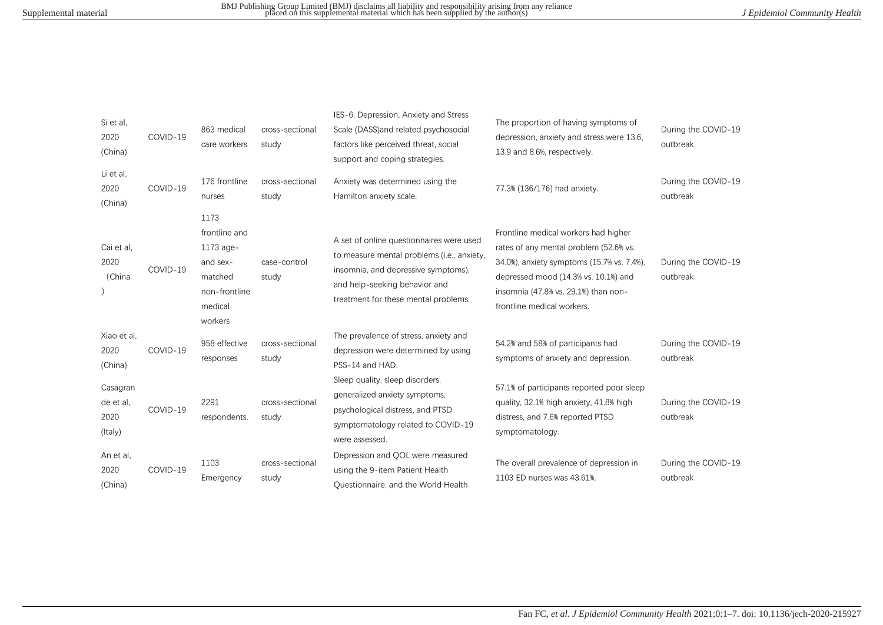| Si et al,<br>2020<br>(China)             | COVID-19 | 863 medical<br>care workers                                                                      | cross-sectional<br>study | IES-6, Depression, Anxiety and Stress<br>Scale (DASS) and related psychosocial<br>factors like perceived threat, social<br>support and coping strategies.                                              | The proportion of having symptoms of<br>depression, anxiety and stress were 13.6,<br>13.9 and 8.6%, respectively.                                                                                                                          | During the COVID-19<br>outbreak |
|------------------------------------------|----------|--------------------------------------------------------------------------------------------------|--------------------------|--------------------------------------------------------------------------------------------------------------------------------------------------------------------------------------------------------|--------------------------------------------------------------------------------------------------------------------------------------------------------------------------------------------------------------------------------------------|---------------------------------|
| Li et al,<br>2020<br>(China)             | COVID-19 | 176 frontline<br>nurses                                                                          | cross-sectional<br>study | Anxiety was determined using the<br>Hamilton anxiety scale.                                                                                                                                            | 77.3% (136/176) had anxiety.                                                                                                                                                                                                               | During the COVID-19<br>outbreak |
| Cai et al,<br>2020<br>(China             | COVID-19 | 1173<br>frontline and<br>1173 age-<br>and sex-<br>matched<br>non-frontline<br>medical<br>workers | case-control<br>study    | A set of online questionnaires were used<br>to measure mental problems (i.e., anxiety,<br>insomnia, and depressive symptoms),<br>and help-seeking behavior and<br>treatment for these mental problems. | Frontline medical workers had higher<br>rates of any mental problem (52.6% vs.<br>34.0%), anxiety symptoms (15.7% vs. 7.4%),<br>depressed mood (14.3% vs. 10.1%) and<br>insomnia (47.8% vs. 29.1%) than non-<br>frontline medical workers. | During the COVID-19<br>outbreak |
| Xiao et al.<br>2020<br>(China)           | COVID-19 | 958 effective<br>responses                                                                       | cross-sectional<br>study | The prevalence of stress, anxiety and<br>depression were determined by using<br>PSS-14 and HAD.                                                                                                        | 54.2% and 58% of participants had<br>symptoms of anxiety and depression.                                                                                                                                                                   | During the COVID-19<br>outbreak |
| Casagran<br>de et al.<br>2020<br>(Italy) | COVID-19 | 2291<br>respondents.                                                                             | cross-sectional<br>study | Sleep quality, sleep disorders,<br>generalized anxiety symptoms,<br>psychological distress, and PTSD<br>symptomatology related to COVID-19<br>were assessed.                                           | 57.1% of participants reported poor sleep<br>quality, 32.1% high anxiety, 41.8% high<br>distress, and 7.6% reported PTSD<br>symptomatology.                                                                                                | During the COVID-19<br>outbreak |
| An et al,<br>2020<br>(China)             | COVID-19 | 1103<br>Emergency                                                                                | cross-sectional<br>study | Depression and QOL were measured<br>using the 9-item Patient Health<br>Questionnaire, and the World Health                                                                                             | The overall prevalence of depression in<br>1103 ED nurses was 43.61%.                                                                                                                                                                      | During the COVID-19<br>outbreak |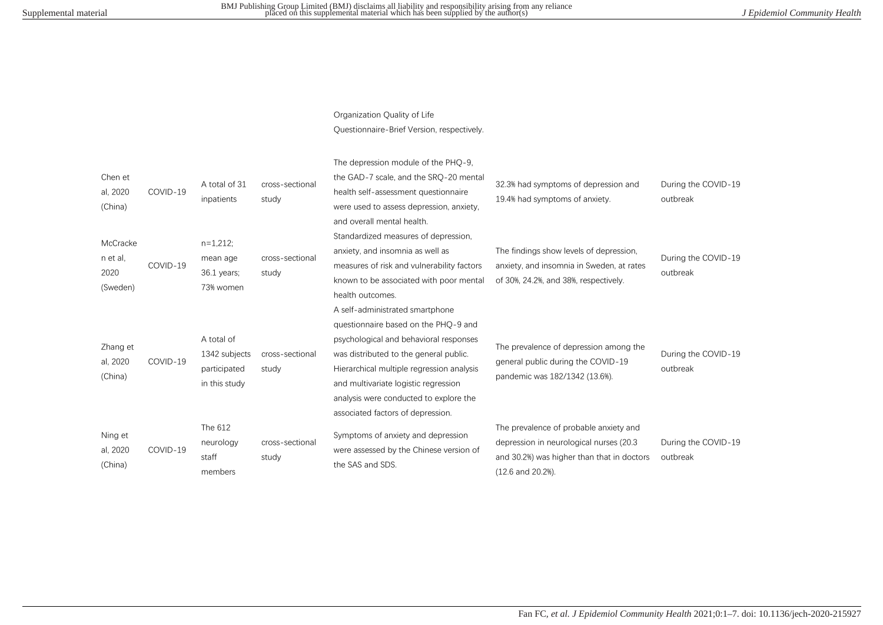## Organization Quality of Life

Questionnaire-Brief Version, respectively.

| Chen et<br>al, 2020<br>(China)           | COVID-19 | A total of 31<br>inpatients                                  | cross-sectional<br>study | The depression module of the PHQ-9,<br>the GAD-7 scale, and the SRQ-20 mental<br>health self-assessment questionnaire<br>were used to assess depression, anxiety,<br>and overall mental health.                                                                                                                                 | 32.3% had symptoms of depression and<br>19.4% had symptoms of anxiety.                                                                                | During the COVID-19<br>outbreak |
|------------------------------------------|----------|--------------------------------------------------------------|--------------------------|---------------------------------------------------------------------------------------------------------------------------------------------------------------------------------------------------------------------------------------------------------------------------------------------------------------------------------|-------------------------------------------------------------------------------------------------------------------------------------------------------|---------------------------------|
| McCracke<br>n et al,<br>2020<br>(Sweden) | COVID-19 | $n=1,212;$<br>mean age<br>$36.1$ years;<br>73% women         | cross-sectional<br>study | Standardized measures of depression,<br>anxiety, and insomnia as well as<br>measures of risk and vulnerability factors<br>known to be associated with poor mental<br>health outcomes.                                                                                                                                           | The findings show levels of depression,<br>anxiety, and insomnia in Sweden, at rates<br>of 30%, 24.2%, and 38%, respectively.                         | During the COVID-19<br>outbreak |
| Zhang et<br>al, 2020<br>(China)          | COVID-19 | A total of<br>1342 subjects<br>participated<br>in this study | cross-sectional<br>study | A self-administrated smartphone<br>questionnaire based on the PHQ-9 and<br>psychological and behavioral responses<br>was distributed to the general public.<br>Hierarchical multiple regression analysis<br>and multivariate logistic regression<br>analysis were conducted to explore the<br>associated factors of depression. | The prevalence of depression among the<br>general public during the COVID-19<br>pandemic was 182/1342 (13.6%).                                        | During the COVID-19<br>outbreak |
| Ning et<br>al, 2020<br>(China)           | COVID-19 | The 612<br>neurology<br>staff<br>members                     | cross-sectional<br>study | Symptoms of anxiety and depression<br>were assessed by the Chinese version of<br>the SAS and SDS.                                                                                                                                                                                                                               | The prevalence of probable anxiety and<br>depression in neurological nurses (20.3)<br>and 30.2%) was higher than that in doctors<br>(12.6 and 20.2%). | During the COVID-19<br>outbreak |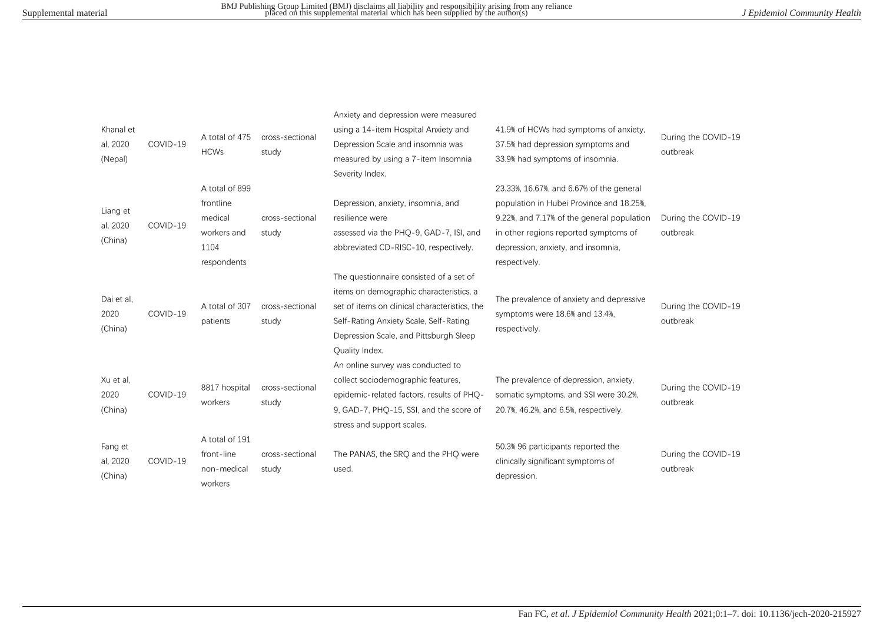| Khanal et<br>al, 2020<br>(Nepal) | COVID-19 | A total of 475<br><b>HCWs</b>                                                | cross-sectional<br>study | Anxiety and depression were measured<br>using a 14-item Hospital Anxiety and<br>Depression Scale and insomnia was<br>measured by using a 7-item Insomnia<br>Severity Index.                                                               | 41.9% of HCWs had symptoms of anxiety.<br>37.5% had depression symptoms and<br>33.9% had symptoms of insomnia.                                                                                                                     | During the COVID-19<br>outbreak |
|----------------------------------|----------|------------------------------------------------------------------------------|--------------------------|-------------------------------------------------------------------------------------------------------------------------------------------------------------------------------------------------------------------------------------------|------------------------------------------------------------------------------------------------------------------------------------------------------------------------------------------------------------------------------------|---------------------------------|
| Liang et<br>al, 2020<br>(China)  | COVID-19 | A total of 899<br>frontline<br>medical<br>workers and<br>1104<br>respondents | cross-sectional<br>study | Depression, anxiety, insomnia, and<br>resilience were<br>assessed via the PHQ-9, GAD-7, ISI, and<br>abbreviated CD-RISC-10, respectively.                                                                                                 | 23.33%, 16.67%, and 6.67% of the general<br>population in Hubei Province and 18.25%,<br>9.22%, and 7.17% of the general population<br>in other regions reported symptoms of<br>depression, anxiety, and insomnia,<br>respectively. | During the COVID-19<br>outbreak |
| Dai et al,<br>2020<br>(China)    | COVID-19 | A total of 307<br>patients                                                   | cross-sectional<br>study | The questionnaire consisted of a set of<br>items on demographic characteristics, a<br>set of items on clinical characteristics, the<br>Self-Rating Anxiety Scale, Self-Rating<br>Depression Scale, and Pittsburgh Sleep<br>Quality Index. | The prevalence of anxiety and depressive<br>symptoms were 18.6% and 13.4%,<br>respectively.                                                                                                                                        | During the COVID-19<br>outbreak |
| Xu et al,<br>2020<br>(China)     | COVID-19 | 8817 hospital<br>workers                                                     | cross-sectional<br>study | An online survey was conducted to<br>collect sociodemographic features,<br>epidemic-related factors, results of PHO-<br>9, GAD-7, PHO-15, SSI, and the score of<br>stress and support scales.                                             | The prevalence of depression, anxiety,<br>somatic symptoms, and SSI were 30.2%,<br>20.7%, 46.2%, and 6.5%, respectively.                                                                                                           | During the COVID-19<br>outbreak |
| Fang et<br>al, 2020<br>(China)   | COVID-19 | A total of 191<br>front-line<br>non-medical<br>workers                       | cross-sectional<br>study | The PANAS, the SRQ and the PHQ were<br>used.                                                                                                                                                                                              | 50.3% 96 participants reported the<br>clinically significant symptoms of<br>depression.                                                                                                                                            | During the COVID-19<br>outbreak |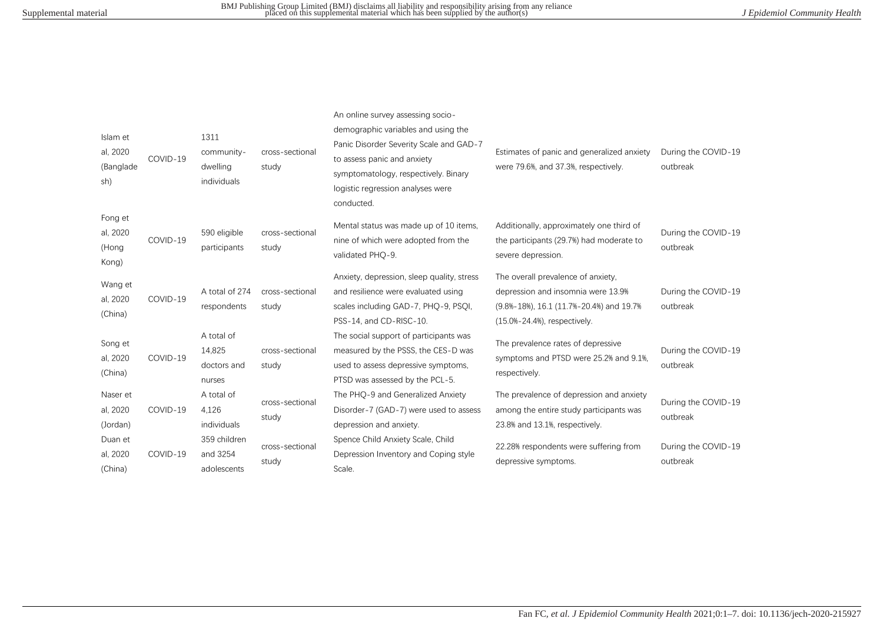| Islam et<br>al, 2020<br>(Banglade<br>sh) | COVID-19 | 1311<br>community-<br>dwelling<br>individuals | cross-sectional<br>study | An online survey assessing socio-<br>demographic variables and using the<br>Panic Disorder Severity Scale and GAD-7<br>to assess panic and anxiety<br>symptomatology, respectively. Binary<br>logistic regression analyses were<br>conducted. | Estimates of panic and generalized anxiety<br>were 79.6%, and 37.3%, respectively.                                                                   | During the COVID-19<br>outbreak |
|------------------------------------------|----------|-----------------------------------------------|--------------------------|-----------------------------------------------------------------------------------------------------------------------------------------------------------------------------------------------------------------------------------------------|------------------------------------------------------------------------------------------------------------------------------------------------------|---------------------------------|
| Fong et<br>al, 2020<br>(Hong<br>Kong)    | COVID-19 | 590 eligible<br>participants                  | cross-sectional<br>study | Mental status was made up of 10 items,<br>nine of which were adopted from the<br>validated PHO-9.                                                                                                                                             | Additionally, approximately one third of<br>the participants (29.7%) had moderate to<br>severe depression.                                           | During the COVID-19<br>outbreak |
| Wang et<br>al, 2020<br>(China)           | COVID-19 | A total of 274<br>respondents                 | cross-sectional<br>study | Anxiety, depression, sleep quality, stress<br>and resilience were evaluated using<br>scales including GAD-7, PHQ-9, PSQI,<br>PSS-14, and CD-RISC-10.                                                                                          | The overall prevalence of anxiety,<br>depression and insomnia were 13.9%<br>(9.8%-18%), 16.1 (11.7%-20.4%) and 19.7%<br>(15.0%-24.4%), respectively. | During the COVID-19<br>outbreak |
| Song et<br>al, 2020<br>(China)           | COVID-19 | A total of<br>14,825<br>doctors and<br>nurses | cross-sectional<br>study | The social support of participants was<br>measured by the PSSS, the CES-D was<br>used to assess depressive symptoms,<br>PTSD was assessed by the PCL-5.                                                                                       | The prevalence rates of depressive<br>symptoms and PTSD were 25.2% and 9.1%.<br>respectively.                                                        | During the COVID-19<br>outbreak |
| Naser et<br>al, 2020<br>(Jordan)         | COVID-19 | A total of<br>4,126<br>individuals            | cross-sectional<br>study | The PHQ-9 and Generalized Anxiety<br>Disorder-7 (GAD-7) were used to assess<br>depression and anxiety.                                                                                                                                        | The prevalence of depression and anxiety<br>among the entire study participants was<br>23.8% and 13.1%, respectively.                                | During the COVID-19<br>outbreak |
| Duan et<br>al, 2020<br>(China)           | COVID-19 | 359 children<br>and 3254<br>adolescents       | cross-sectional<br>study | Spence Child Anxiety Scale, Child<br>Depression Inventory and Coping style<br>Scale.                                                                                                                                                          | 22.28% respondents were suffering from<br>depressive symptoms.                                                                                       | During the COVID-19<br>outbreak |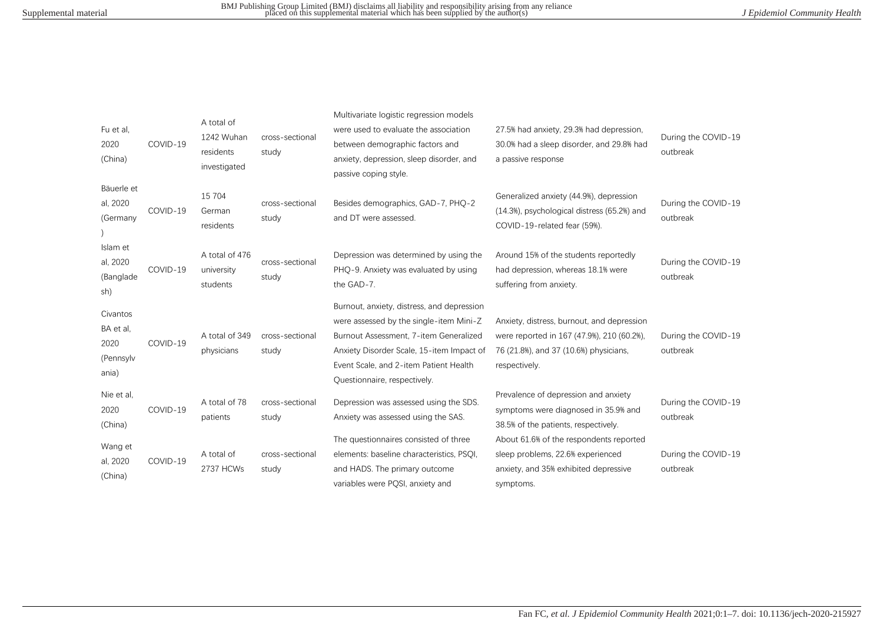| Fu et al,<br>2020<br>(China)                        | COVID-19 | A total of<br>1242 Wuhan<br>residents<br>investigated | cross-sectional<br>study | Multivariate logistic regression models<br>were used to evaluate the association<br>between demographic factors and<br>anxiety, depression, sleep disorder, and<br>passive coping style.                                                               | 27.5% had anxiety, 29.3% had depression,<br>30.0% had a sleep disorder, and 29.8% had<br>a passive response                                         | During the COVID-19<br>outbreak |
|-----------------------------------------------------|----------|-------------------------------------------------------|--------------------------|--------------------------------------------------------------------------------------------------------------------------------------------------------------------------------------------------------------------------------------------------------|-----------------------------------------------------------------------------------------------------------------------------------------------------|---------------------------------|
| Bäuerle et<br>al, 2020<br>(Germany                  | COVID-19 | 15 704<br>German<br>residents                         | cross-sectional<br>study | Besides demographics, GAD-7, PHQ-2<br>and DT were assessed.                                                                                                                                                                                            | Generalized anxiety (44.9%), depression<br>(14.3%), psychological distress (65.2%) and<br>COVID-19-related fear (59%).                              | During the COVID-19<br>outbreak |
| Islam et<br>al, 2020<br>(Banglade<br>sh)            | COVID-19 | A total of 476<br>university<br>students              | cross-sectional<br>study | Depression was determined by using the<br>PHO-9. Anxiety was evaluated by using<br>the GAD-7.                                                                                                                                                          | Around 15% of the students reportedly<br>had depression, whereas 18.1% were<br>suffering from anxiety.                                              | During the COVID-19<br>outbreak |
| Civantos<br>BA et al,<br>2020<br>(Pennsylv<br>ania) | COVID-19 | A total of 349<br>physicians                          | cross-sectional<br>study | Burnout, anxiety, distress, and depression<br>were assessed by the single-item Mini-Z<br>Burnout Assessment, 7-item Generalized<br>Anxiety Disorder Scale, 15-item Impact of<br>Event Scale, and 2-item Patient Health<br>Questionnaire, respectively. | Anxiety, distress, burnout, and depression<br>were reported in 167 (47.9%), 210 (60.2%),<br>76 (21.8%), and 37 (10.6%) physicians,<br>respectively. | During the COVID-19<br>outbreak |
| Nie et al,<br>2020<br>(China)                       | COVID-19 | A total of 78<br>patients                             | cross-sectional<br>study | Depression was assessed using the SDS.<br>Anxiety was assessed using the SAS.                                                                                                                                                                          | Prevalence of depression and anxiety<br>symptoms were diagnosed in 35.9% and<br>38.5% of the patients, respectively.                                | During the COVID-19<br>outbreak |
| Wang et<br>al, 2020<br>(China)                      | COVID-19 | A total of<br>2737 HCWs                               | cross-sectional<br>study | The questionnaires consisted of three<br>elements: baseline characteristics, PSQI,<br>and HADS. The primary outcome<br>variables were PQSI, anxiety and                                                                                                | About 61.6% of the respondents reported<br>sleep problems, 22.6% experienced<br>anxiety, and 35% exhibited depressive<br>symptoms.                  | During the COVID-19<br>outbreak |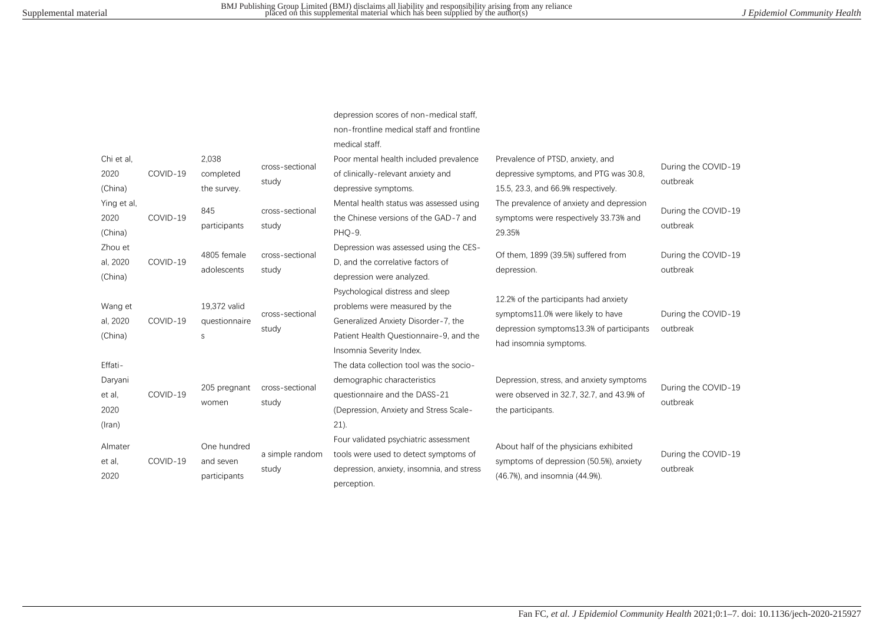depression scores of non-medical staff,

|                                                      |          |                                          |                          | non-frontline medical staff and frontline<br>medical staff.                                                                                                                     |                                                                                                                                                   |                                 |
|------------------------------------------------------|----------|------------------------------------------|--------------------------|---------------------------------------------------------------------------------------------------------------------------------------------------------------------------------|---------------------------------------------------------------------------------------------------------------------------------------------------|---------------------------------|
| Chi et al.<br>2020<br>(China)                        | COVID-19 | 2,038<br>completed<br>the survey.        | cross-sectional<br>study | Poor mental health included prevalence<br>of clinically-relevant anxiety and<br>depressive symptoms.                                                                            | Prevalence of PTSD, anxiety, and<br>depressive symptoms, and PTG was 30.8,<br>15.5, 23.3, and 66.9% respectively.                                 | During the COVID-19<br>outbreak |
| Ying et al,<br>2020<br>(China)                       | COVID-19 | 845<br>participants                      | cross-sectional<br>study | Mental health status was assessed using<br>the Chinese versions of the GAD-7 and<br>PHQ-9.                                                                                      | The prevalence of anxiety and depression<br>symptoms were respectively 33.73% and<br>29.35%                                                       | During the COVID-19<br>outbreak |
| Zhou et<br>al, 2020<br>(China)                       | COVID-19 | 4805 female<br>adolescents               | cross-sectional<br>study | Depression was assessed using the CES-<br>D. and the correlative factors of<br>depression were analyzed.                                                                        | Of them, 1899 (39.5%) suffered from<br>depression.                                                                                                | During the COVID-19<br>outbreak |
| Wang et<br>al, 2020<br>(China)                       | COVID-19 | 19,372 valid<br>questionnaire<br>S       | cross-sectional<br>study | Psychological distress and sleep<br>problems were measured by the<br>Generalized Anxiety Disorder-7, the<br>Patient Health Ouestionnaire-9, and the<br>Insomnia Severity Index. | 12.2% of the participants had anxiety<br>symptoms11.0% were likely to have<br>depression symptoms 13.3% of participants<br>had insomnia symptoms. | During the COVID-19<br>outbreak |
| Effati-<br>Daryani<br>et al.<br>2020<br>$($ lran $)$ | COVID-19 | 205 pregnant<br>women                    | cross-sectional<br>study | The data collection tool was the socio-<br>demographic characteristics<br>questionnaire and the DASS-21<br>(Depression, Anxiety and Stress Scale-<br>$21$ ).                    | Depression, stress, and anxiety symptoms<br>were observed in 32.7, 32.7, and 43.9% of<br>the participants.                                        | During the COVID-19<br>outbreak |
| Almater<br>et al.<br>2020                            | COVID-19 | One hundred<br>and seven<br>participants | a simple random<br>study | Four validated psychiatric assessment<br>tools were used to detect symptoms of<br>depression, anxiety, insomnia, and stress<br>perception.                                      | About half of the physicians exhibited<br>symptoms of depression (50.5%), anxiety<br>(46.7%), and insomnia (44.9%).                               | During the COVID-19<br>outbreak |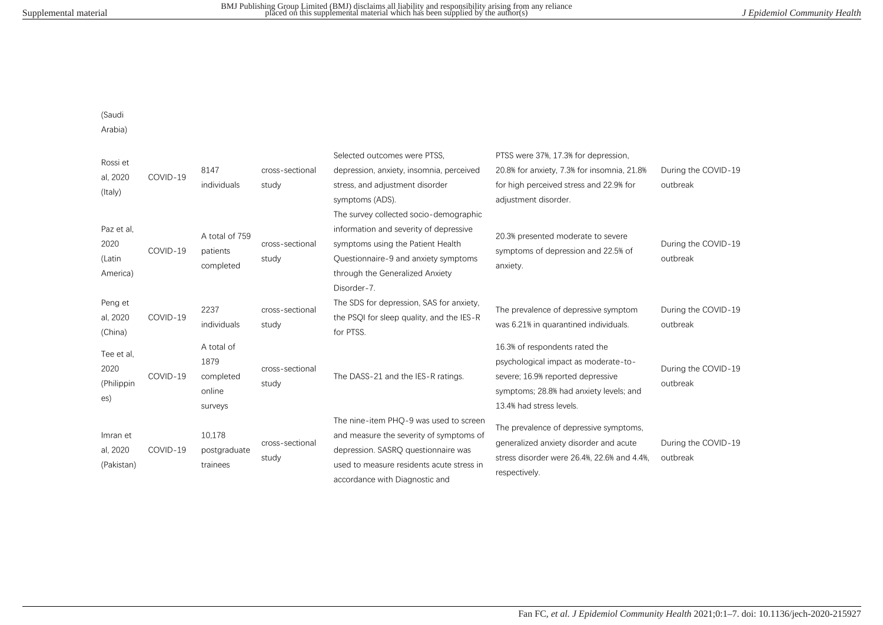(Saudi

Arabia)

| Rossi et    |          |                       |                 | Selected outcomes were PTSS.              | PTSS were 37%, 17.3% for depression,                                                  |                                 |
|-------------|----------|-----------------------|-----------------|-------------------------------------------|---------------------------------------------------------------------------------------|---------------------------------|
|             | COVID-19 | 8147                  | cross-sectional | depression, anxiety, insomnia, perceived  | 20.8% for anxiety, 7.3% for insomnia, 21.8%                                           | During the COVID-19             |
| al, 2020    |          | individuals           | study           | stress, and adjustment disorder           | for high perceived stress and 22.9% for                                               | outbreak                        |
| (Italy)     |          |                       |                 | symptoms (ADS).                           | adjustment disorder.                                                                  |                                 |
|             |          |                       |                 | The survey collected socio-demographic    |                                                                                       |                                 |
| Paz et al,  |          | A total of 759        |                 | information and severity of depressive    |                                                                                       |                                 |
| 2020        | COVID-19 | patients<br>completed | cross-sectional | symptoms using the Patient Health         | 20.3% presented moderate to severe<br>symptoms of depression and 22.5% of<br>anxiety. | During the COVID-19<br>outbreak |
| (Latin      |          |                       | study           | Ouestionnaire-9 and anxiety symptoms      |                                                                                       |                                 |
| America)    |          |                       |                 | through the Generalized Anxiety           |                                                                                       |                                 |
|             |          |                       |                 | Disorder-7.                               |                                                                                       |                                 |
| Peng et     |          | 2237                  | cross-sectional | The SDS for depression, SAS for anxiety,  | The prevalence of depressive symptom                                                  | During the COVID-19             |
| al, 2020    | COVID-19 | individuals           | study           | the PSQI for sleep quality, and the IES-R | was 6.21% in quarantined individuals.                                                 | outbreak                        |
| (China)     |          |                       |                 | for PTSS.                                 |                                                                                       |                                 |
| Tee et al,  |          | A total of            |                 |                                           | 16.3% of respondents rated the                                                        |                                 |
| 2020        |          | 1879                  | cross-sectional |                                           | psychological impact as moderate-to-                                                  | During the COVID-19             |
| (Philippin) | COVID-19 | completed             | study           | The DASS-21 and the IES-R ratings.        | severe; 16.9% reported depressive                                                     | outbreak                        |
| es)         |          | online                |                 |                                           | symptoms; 28.8% had anxiety levels; and                                               |                                 |
|             |          | surveys               |                 |                                           | 13.4% had stress levels.                                                              |                                 |
|             |          |                       |                 | The nine-item PHQ-9 was used to screen    | The prevalence of depressive symptoms,                                                |                                 |
| Imran et    |          | 10,178                | cross-sectional | and measure the severity of symptoms of   | generalized anxiety disorder and acute                                                | During the COVID-19             |
| al, 2020    | COVID-19 | postgraduate          | study           | depression. SASRO questionnaire was       | stress disorder were 26.4%, 22.6% and 4.4%,                                           | outbreak                        |
| (Pakistan)  |          | trainees              |                 | used to measure residents acute stress in | respectively.                                                                         |                                 |
|             |          |                       |                 | accordance with Diagnostic and            |                                                                                       |                                 |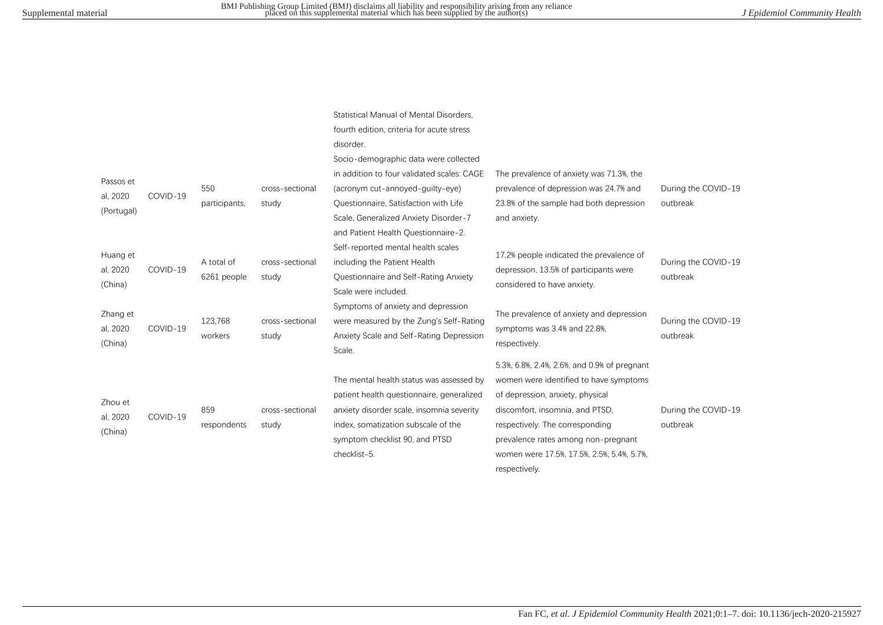| Passos et<br>al, 2020<br>(Portugal) | COVID-19 | 550<br>participants,      | cross-sectional<br>study | Statistical Manual of Mental Disorders.<br>fourth edition, criteria for acute stress<br>disorder.<br>Socio-demographic data were collected<br>in addition to four validated scales: CAGE<br>(acronym cut-annoyed-guilty-eye)<br>Questionnaire, Satisfaction with Life<br>Scale, Generalized Anxiety Disorder-7<br>and Patient Health Questionnaire-2. | The prevalence of anxiety was 71.3%, the<br>prevalence of depression was 24.7% and<br>23.8% of the sample had both depression<br>and anxiety.                                                                                                                                                          | During the COVID-19<br>outbreak |
|-------------------------------------|----------|---------------------------|--------------------------|-------------------------------------------------------------------------------------------------------------------------------------------------------------------------------------------------------------------------------------------------------------------------------------------------------------------------------------------------------|--------------------------------------------------------------------------------------------------------------------------------------------------------------------------------------------------------------------------------------------------------------------------------------------------------|---------------------------------|
| Huang et<br>al, 2020<br>(China)     | COVID-19 | A total of<br>6261 people | cross-sectional<br>study | Self-reported mental health scales<br>including the Patient Health<br>Questionnaire and Self-Rating Anxiety<br>Scale were included.<br>Symptoms of anxiety and depression                                                                                                                                                                             | 17.2% people indicated the prevalence of<br>depression, 13.5% of participants were<br>considered to have anxiety.                                                                                                                                                                                      | During the COVID-19<br>outbreak |
| Zhang et<br>al, 2020<br>(China)     | COVID-19 | 123,768<br>workers        | cross-sectional<br>study | were measured by the Zung's Self-Rating<br>Anxiety Scale and Self-Rating Depression<br>Scale.                                                                                                                                                                                                                                                         | The prevalence of anxiety and depression<br>symptoms was 3.4% and 22.8%.<br>respectively.                                                                                                                                                                                                              | During the COVID-19<br>outbreak |
| Zhou et<br>al, 2020<br>(China)      | COVID-19 | 859<br>respondents        | cross-sectional<br>study | The mental health status was assessed by<br>patient health questionnaire, generalized<br>anxiety disorder scale, insomnia severity<br>index, somatization subscale of the<br>symptom checklist 90, and PTSD<br>checklist-5.                                                                                                                           | 5.3%, 6.8%, 2.4%, 2.6%, and 0.9% of pregnant<br>women were identified to have symptoms<br>of depression, anxiety, physical<br>discomfort, insomnia, and PTSD,<br>respectively. The corresponding<br>prevalence rates among non-pregnant<br>women were 17.5%, 17.5%, 2.5%, 5.4%, 5.7%,<br>respectively. | During the COVID-19<br>outbreak |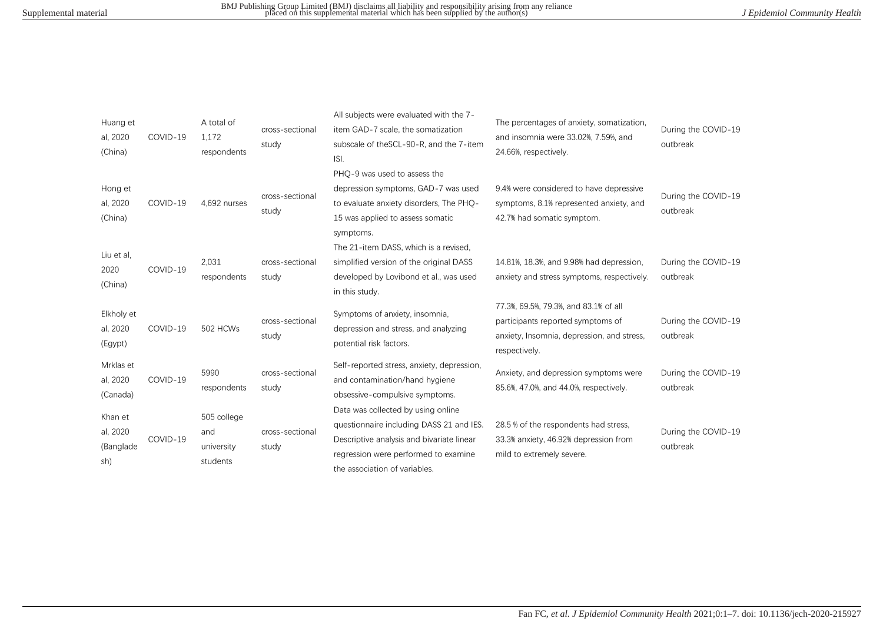| Huang et<br>al, 2020<br>(China)         | COVID-19 | A total of<br>1,172<br>respondents           | cross-sectional<br>study | All subjects were evaluated with the 7-<br>item GAD-7 scale, the somatization<br>subscale of the SCL-90-R, and the 7-item<br>ISI.                                                                    | The percentages of anxiety, somatization,<br>and insomnia were 33.02%, 7.59%, and<br>24.66%, respectively.                                | During the COVID-19<br>outbreak |
|-----------------------------------------|----------|----------------------------------------------|--------------------------|------------------------------------------------------------------------------------------------------------------------------------------------------------------------------------------------------|-------------------------------------------------------------------------------------------------------------------------------------------|---------------------------------|
| Hong et<br>al, 2020<br>(China)          | COVID-19 | 4,692 nurses                                 | cross-sectional<br>study | PHQ-9 was used to assess the<br>depression symptoms, GAD-7 was used<br>to evaluate anxiety disorders. The PHO-<br>15 was applied to assess somatic<br>symptoms.                                      | 9.4% were considered to have depressive<br>symptoms, 8.1% represented anxiety, and<br>42.7% had somatic symptom.                          | During the COVID-19<br>outbreak |
| Liu et al,<br>2020<br>(China)           | COVID-19 | 2,031<br>respondents                         | cross-sectional<br>study | The 21-item DASS, which is a revised.<br>simplified version of the original DASS<br>developed by Lovibond et al., was used<br>in this study.                                                         | 14.81%, 18.3%, and 9.98% had depression,<br>anxiety and stress symptoms, respectively.                                                    | During the COVID-19<br>outbreak |
| Elkholy et<br>al, 2020<br>(Egypt)       | COVID-19 | 502 HCWs                                     | cross-sectional<br>study | Symptoms of anxiety, insomnia,<br>depression and stress, and analyzing<br>potential risk factors.                                                                                                    | 77.3%, 69.5%, 79.3%, and 83.1% of all<br>participants reported symptoms of<br>anxiety, Insomnia, depression, and stress,<br>respectively. | During the COVID-19<br>outbreak |
| Mrklas et<br>al, 2020<br>(Canada)       | COVID-19 | 5990<br>respondents                          | cross-sectional<br>study | Self-reported stress, anxiety, depression,<br>and contamination/hand hygiene<br>obsessive-compulsive symptoms.                                                                                       | Anxiety, and depression symptoms were<br>85.6%, 47.0%, and 44.0%, respectively.                                                           | During the COVID-19<br>outbreak |
| Khan et<br>al, 2020<br>(Banglade<br>sh) | COVID-19 | 505 college<br>and<br>university<br>students | cross-sectional<br>study | Data was collected by using online<br>questionnaire including DASS 21 and IES.<br>Descriptive analysis and bivariate linear<br>regression were performed to examine<br>the association of variables. | 28.5 % of the respondents had stress,<br>33.3% anxiety, 46.92% depression from<br>mild to extremely severe.                               | During the COVID-19<br>outbreak |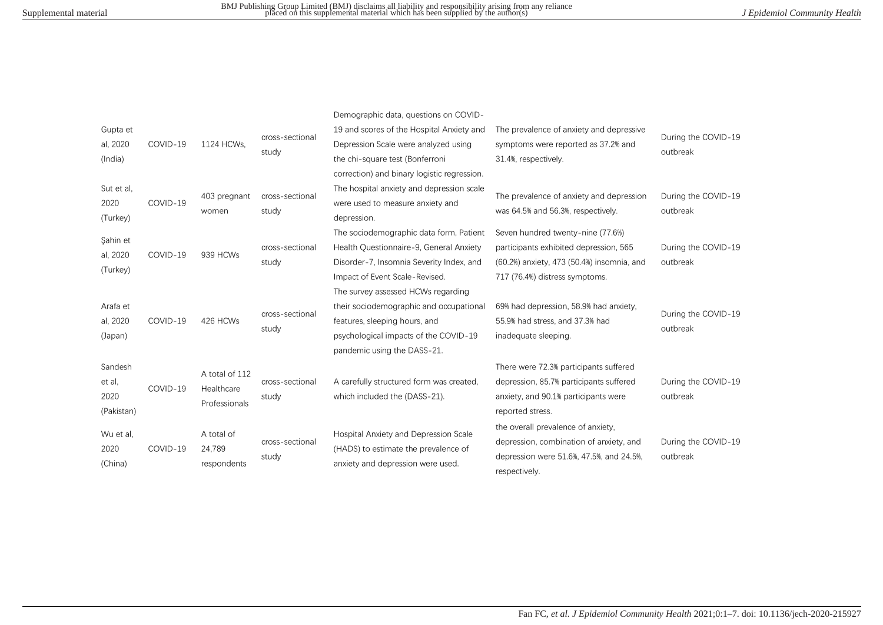| Gupta et<br>al, 2020<br>(India)         | COVID-19 | 1124 HCWs.                                    | cross-sectional<br>study | Demographic data, questions on COVID-<br>19 and scores of the Hospital Anxiety and<br>Depression Scale were analyzed using<br>the chi-square test (Bonferroni<br>correction) and binary logistic regression. | The prevalence of anxiety and depressive<br>symptoms were reported as 37.2% and<br>31.4%, respectively.                                                     | During the COVID-19<br>outbreak |
|-----------------------------------------|----------|-----------------------------------------------|--------------------------|--------------------------------------------------------------------------------------------------------------------------------------------------------------------------------------------------------------|-------------------------------------------------------------------------------------------------------------------------------------------------------------|---------------------------------|
| Sut et al,<br>2020<br>(Turkey)          | COVID-19 | 403 pregnant<br>women                         | cross-sectional<br>study | The hospital anxiety and depression scale<br>were used to measure anxiety and<br>depression.                                                                                                                 | The prevalence of anxiety and depression<br>was 64.5% and 56.3%, respectively.                                                                              | During the COVID-19<br>outbreak |
| Sahin et<br>al, 2020<br>(Turkey)        | COVID-19 | 939 HCWs                                      | cross-sectional<br>study | The sociodemographic data form, Patient<br>Health Questionnaire-9, General Anxiety<br>Disorder-7, Insomnia Severity Index, and<br>Impact of Event Scale-Revised.<br>The survey assessed HCWs regarding       | Seven hundred twenty-nine (77.6%)<br>participants exhibited depression, 565<br>(60.2%) anxiety, 473 (50.4%) insomnia, and<br>717 (76.4%) distress symptoms. | During the COVID-19<br>outbreak |
| Arafa et<br>al, 2020<br>(Japan)         | COVID-19 | 426 HCWs                                      | cross-sectional<br>study | their sociodemographic and occupational<br>features, sleeping hours, and<br>psychological impacts of the COVID-19<br>pandemic using the DASS-21.                                                             | 69% had depression, 58.9% had anxiety,<br>55.9% had stress, and 37.3% had<br>inadequate sleeping.                                                           | During the COVID-19<br>outbreak |
| Sandesh<br>et al,<br>2020<br>(Pakistan) | COVID-19 | A total of 112<br>Healthcare<br>Professionals | cross-sectional<br>study | A carefully structured form was created,<br>which included the (DASS-21).                                                                                                                                    | There were 72.3% participants suffered<br>depression, 85.7% participants suffered<br>anxiety, and 90.1% participants were<br>reported stress.               | During the COVID-19<br>outbreak |
| Wu et al,<br>2020<br>(China)            | COVID-19 | A total of<br>24,789<br>respondents           | cross-sectional<br>study | Hospital Anxiety and Depression Scale<br>(HADS) to estimate the prevalence of<br>anxiety and depression were used.                                                                                           | the overall prevalence of anxiety,<br>depression, combination of anxiety, and<br>depression were 51.6%, 47.5%, and 24.5%,<br>respectively.                  | During the COVID-19<br>outbreak |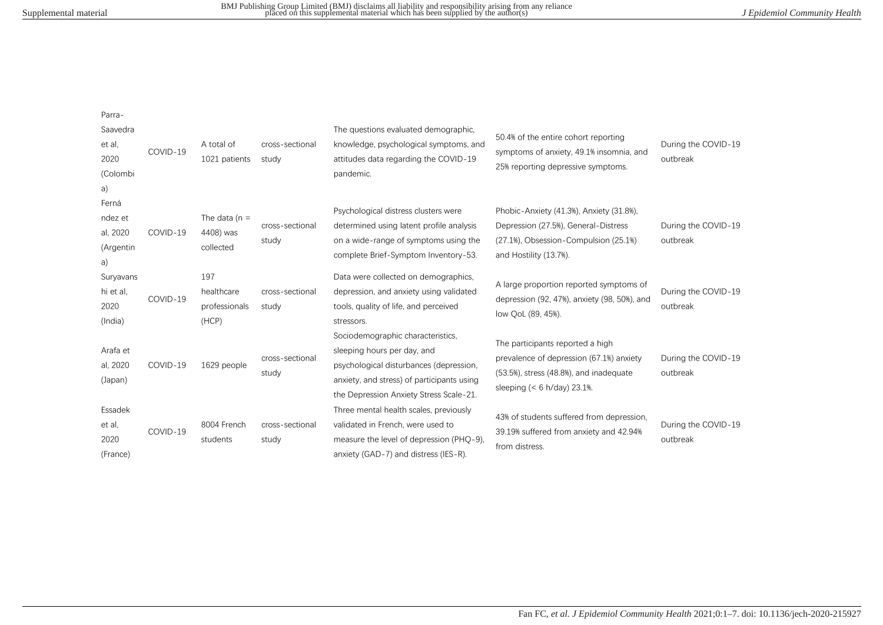Parra‐

| Saavedra<br>et al,<br>2020                | COVID-19 | A total of<br>1021 patients                 | cross-sectional<br>study | The questions evaluated demographic,<br>knowledge, psychological symptoms, and<br>attitudes data regarding the COVID-19                                                                              | 50.4% of the entire cohort reporting<br>symptoms of anxiety, 49.1% insomnia, and<br>25% reporting depressive symptoms.                                                   | During the COVID-19<br>outbreak |
|-------------------------------------------|----------|---------------------------------------------|--------------------------|------------------------------------------------------------------------------------------------------------------------------------------------------------------------------------------------------|--------------------------------------------------------------------------------------------------------------------------------------------------------------------------|---------------------------------|
| (Colombi<br>a)<br>Ferná                   |          |                                             |                          | pandemic.<br>Psychological distress clusters were                                                                                                                                                    | Phobic-Anxiety (41.3%), Anxiety (31.8%),                                                                                                                                 |                                 |
| ndez et<br>al, 2020<br>(Argentin<br>a)    | COVID-19 | The data ( $n =$<br>4408) was<br>collected  | cross-sectional<br>study | determined using latent profile analysis<br>on a wide-range of symptoms using the<br>complete Brief-Symptom Inventory-53.                                                                            | Depression (27.5%), General-Distress<br>(27.1%), Obsession-Compulsion (25.1%)<br>and Hostility (13.7%).                                                                  | During the COVID-19<br>outbreak |
| Suryavans<br>hi et al,<br>2020<br>(India) | COVID-19 | 197<br>healthcare<br>professionals<br>(HCP) | cross-sectional<br>study | Data were collected on demographics.<br>depression, and anxiety using validated<br>tools, quality of life, and perceived<br>stressors.                                                               | A large proportion reported symptoms of<br>depression (92, 47%), anxiety (98, 50%), and<br>low QoL (89, 45%).                                                            | During the COVID-19<br>outbreak |
| Arafa et<br>al, 2020<br>(Japan)           | COVID-19 | 1629 people                                 | cross-sectional<br>study | Sociodemographic characteristics,<br>sleeping hours per day, and<br>psychological disturbances (depression,<br>anxiety, and stress) of participants using<br>the Depression Anxiety Stress Scale-21. | The participants reported a high<br>prevalence of depression (67.1%) anxiety<br>$(53.5\%)$ , stress $(48.8\%)$ , and inadequate<br>sleeping $(< 6 \text{ h/day})$ 23.1%. | During the COVID-19<br>outbreak |
| Essadek<br>et al,<br>2020<br>(France)     | COVID-19 | 8004 French<br>students                     | cross-sectional<br>study | Three mental health scales, previously<br>validated in French, were used to<br>measure the level of depression (PHQ-9),<br>anxiety (GAD-7) and distress (IES-R).                                     | 43% of students suffered from depression,<br>39.19% suffered from anxiety and 42.94%<br>from distress.                                                                   | During the COVID-19<br>outbreak |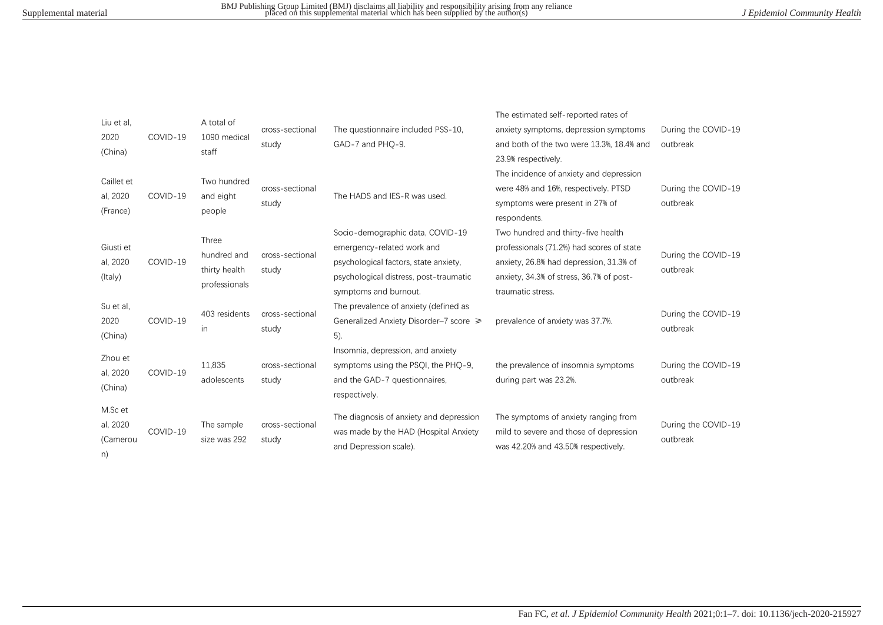| Liu et al.<br>2020<br>(China)         | COVID-19 | A total of<br>1090 medical<br>staff                           | cross-sectional<br>study | The questionnaire included PSS-10,<br>GAD-7 and PHO-9.                                                                                                                     | The estimated self-reported rates of<br>anxiety symptoms, depression symptoms<br>and both of the two were 13.3%, 18.4% and<br>23.9% respectively.                                           | During the COVID-19<br>outbreak |
|---------------------------------------|----------|---------------------------------------------------------------|--------------------------|----------------------------------------------------------------------------------------------------------------------------------------------------------------------------|---------------------------------------------------------------------------------------------------------------------------------------------------------------------------------------------|---------------------------------|
| Caillet et<br>al, 2020<br>(France)    | COVID-19 | Two hundred<br>and eight<br>people                            | cross-sectional<br>study | The HADS and IES-R was used.                                                                                                                                               | The incidence of anxiety and depression<br>were 48% and 16%, respectively. PTSD<br>symptoms were present in 27% of<br>respondents.                                                          | During the COVID-19<br>outbreak |
| Giusti et<br>al, 2020<br>(Italy)      | COVID-19 | <b>Three</b><br>hundred and<br>thirty health<br>professionals | cross-sectional<br>study | Socio-demographic data, COVID-19<br>emergency-related work and<br>psychological factors, state anxiety,<br>psychological distress, post-traumatic<br>symptoms and burnout. | Two hundred and thirty-five health<br>professionals (71.2%) had scores of state<br>anxiety, 26.8% had depression, 31.3% of<br>anxiety, 34.3% of stress, 36.7% of post-<br>traumatic stress. | During the COVID-19<br>outbreak |
| Su et al.<br>2020<br>(China)          | COVID-19 | 403 residents<br>in.                                          | cross-sectional<br>study | The prevalence of anxiety (defined as<br>Generalized Anxiety Disorder-7 score ≥<br>$5)$ .                                                                                  | prevalence of anxiety was 37.7%.                                                                                                                                                            | During the COVID-19<br>outbreak |
| Zhou et<br>al, 2020<br>(China)        | COVID-19 | 11,835<br>adolescents                                         | cross-sectional<br>study | Insomnia, depression, and anxiety<br>symptoms using the PSQI, the PHQ-9,<br>and the GAD-7 questionnaires,<br>respectively.                                                 | the prevalence of insomnia symptoms<br>during part was 23.2%.                                                                                                                               | During the COVID-19<br>outbreak |
| M.Sc et<br>al, 2020<br>(Camerou<br>n) | COVID-19 | The sample<br>size was 292                                    | cross-sectional<br>study | The diagnosis of anxiety and depression<br>was made by the HAD (Hospital Anxiety<br>and Depression scale).                                                                 | The symptoms of anxiety ranging from<br>mild to severe and those of depression<br>was 42.20% and 43.50% respectively.                                                                       | During the COVID-19<br>outbreak |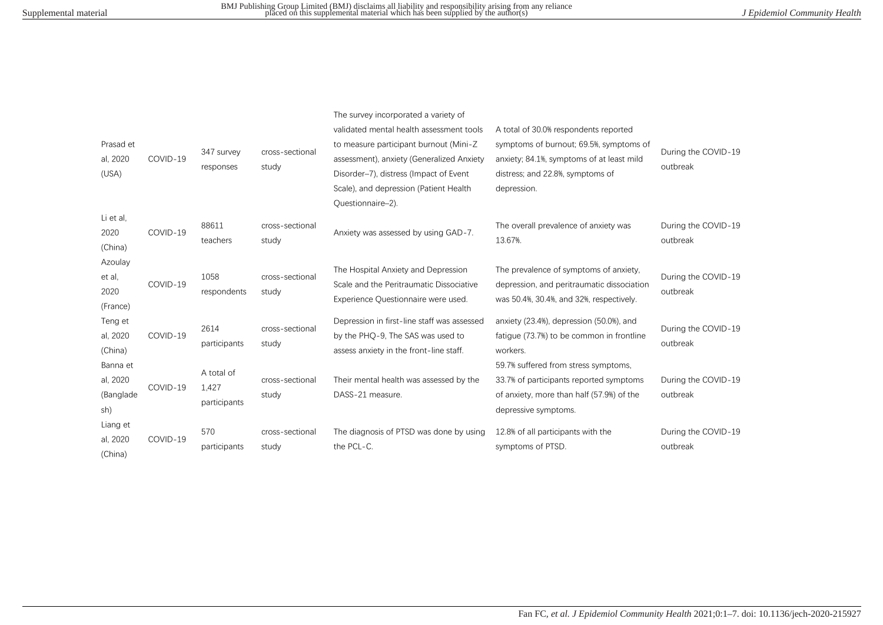| Prasad et<br>al, 2020<br>(USA)           | COVID-19 | 347 survey<br>responses             | cross-sectional<br>study | The survey incorporated a variety of<br>validated mental health assessment tools<br>to measure participant burnout (Mini-Z<br>assessment), anxiety (Generalized Anxiety<br>Disorder-7), distress (Impact of Event<br>Scale), and depression (Patient Health<br>Questionnaire-2). | A total of 30.0% respondents reported<br>symptoms of burnout; 69.5%, symptoms of<br>anxiety; 84.1%, symptoms of at least mild<br>distress; and 22.8%, symptoms of<br>depression. | During the COVID-19<br>outbreak |
|------------------------------------------|----------|-------------------------------------|--------------------------|----------------------------------------------------------------------------------------------------------------------------------------------------------------------------------------------------------------------------------------------------------------------------------|----------------------------------------------------------------------------------------------------------------------------------------------------------------------------------|---------------------------------|
| Li et al.<br>2020<br>(China)             | COVID-19 | 88611<br>teachers                   | cross-sectional<br>study | Anxiety was assessed by using GAD-7.                                                                                                                                                                                                                                             | The overall prevalence of anxiety was<br>13.67%.                                                                                                                                 | During the COVID-19<br>outbreak |
| Azoulay<br>et al,<br>2020<br>(France)    | COVID-19 | 1058<br>respondents                 | cross-sectional<br>study | The Hospital Anxiety and Depression<br>Scale and the Peritraumatic Dissociative<br>Experience Questionnaire were used.                                                                                                                                                           | The prevalence of symptoms of anxiety.<br>depression, and peritraumatic dissociation<br>was 50.4%, 30.4%, and 32%, respectively.                                                 | During the COVID-19<br>outbreak |
| Teng et<br>al, 2020<br>(China)           | COVID-19 | 2614<br>participants                | cross-sectional<br>study | Depression in first-line staff was assessed<br>by the PHO-9. The SAS was used to<br>assess anxiety in the front-line staff.                                                                                                                                                      | anxiety (23.4%), depression (50.0%), and<br>fatigue (73.7%) to be common in frontline<br>workers.                                                                                | During the COVID-19<br>outbreak |
| Banna et<br>al, 2020<br>(Banglade<br>sh) | COVID-19 | A total of<br>1,427<br>participants | cross-sectional<br>study | Their mental health was assessed by the<br>DASS-21 measure.                                                                                                                                                                                                                      | 59.7% suffered from stress symptoms,<br>33.7% of participants reported symptoms<br>of anxiety, more than half (57.9%) of the<br>depressive symptoms.                             | During the COVID-19<br>outbreak |
| Liang et<br>al, 2020<br>(China)          | COVID-19 | 570<br>participants                 | cross-sectional<br>study | The diagnosis of PTSD was done by using<br>the PCL-C.                                                                                                                                                                                                                            | 12.8% of all participants with the<br>symptoms of PTSD.                                                                                                                          | During the COVID-19<br>outbreak |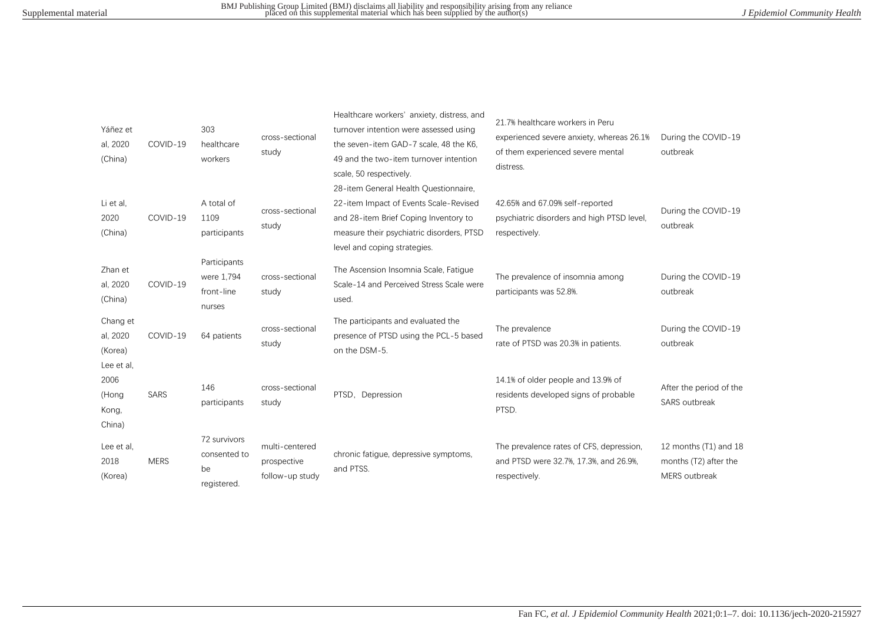| Yáñez et<br>al, 2020<br>(China)                | COVID-19    | 303<br>healthcare<br>workers                       | cross-sectional<br>study                         | Healthcare workers' anxiety, distress, and<br>turnover intention were assessed using<br>the seven-item GAD-7 scale, 48 the K6,<br>49 and the two-item turnover intention<br>scale, 50 respectively.   | 21.7% healthcare workers in Peru<br>experienced severe anxiety, whereas 26.1%<br>of them experienced severe mental<br>distress. | During the COVID-19<br>outbreak                                 |
|------------------------------------------------|-------------|----------------------------------------------------|--------------------------------------------------|-------------------------------------------------------------------------------------------------------------------------------------------------------------------------------------------------------|---------------------------------------------------------------------------------------------------------------------------------|-----------------------------------------------------------------|
| Li et al.<br>2020<br>(China)                   | COVID-19    | A total of<br>1109<br>participants                 | cross-sectional<br>study                         | 28-item General Health Questionnaire,<br>22-item Impact of Events Scale-Revised<br>and 28-item Brief Coping Inventory to<br>measure their psychiatric disorders, PTSD<br>level and coping strategies. | 42.65% and 67.09% self-reported<br>psychiatric disorders and high PTSD level.<br>respectively.                                  | During the COVID-19<br>outbreak                                 |
| Zhan et<br>al, 2020<br>(China)                 | COVID-19    | Participants<br>were 1,794<br>front-line<br>nurses | cross-sectional<br>study                         | The Ascension Insomnia Scale, Fatigue<br>Scale-14 and Perceived Stress Scale were<br>used.                                                                                                            | The prevalence of insomnia among<br>participants was 52.8%.                                                                     | During the COVID-19<br>outbreak                                 |
| Chang et<br>al, 2020<br>(Korea)                | COVID-19    | 64 patients                                        | cross-sectional<br>study                         | The participants and evaluated the<br>presence of PTSD using the PCL-5 based<br>on the DSM-5.                                                                                                         | The prevalence<br>rate of PTSD was 20.3% in patients.                                                                           | During the COVID-19<br>outbreak                                 |
| Lee et al,<br>2006<br>(Hong<br>Kong,<br>China) | <b>SARS</b> | 146<br>participants                                | cross-sectional<br>study                         | PTSD, Depression                                                                                                                                                                                      | 14.1% of older people and 13.9% of<br>residents developed signs of probable<br>PTSD.                                            | After the period of the<br>SARS outbreak                        |
| Lee et al.<br>2018<br>(Korea)                  | <b>MERS</b> | 72 survivors<br>consented to<br>be<br>registered.  | multi-centered<br>prospective<br>follow-up study | chronic fatigue, depressive symptoms,<br>and PTSS.                                                                                                                                                    | The prevalence rates of CFS, depression,<br>and PTSD were 32.7%, 17.3%, and 26.9%,<br>respectively.                             | 12 months (T1) and 18<br>months (T2) after the<br>MERS outbreak |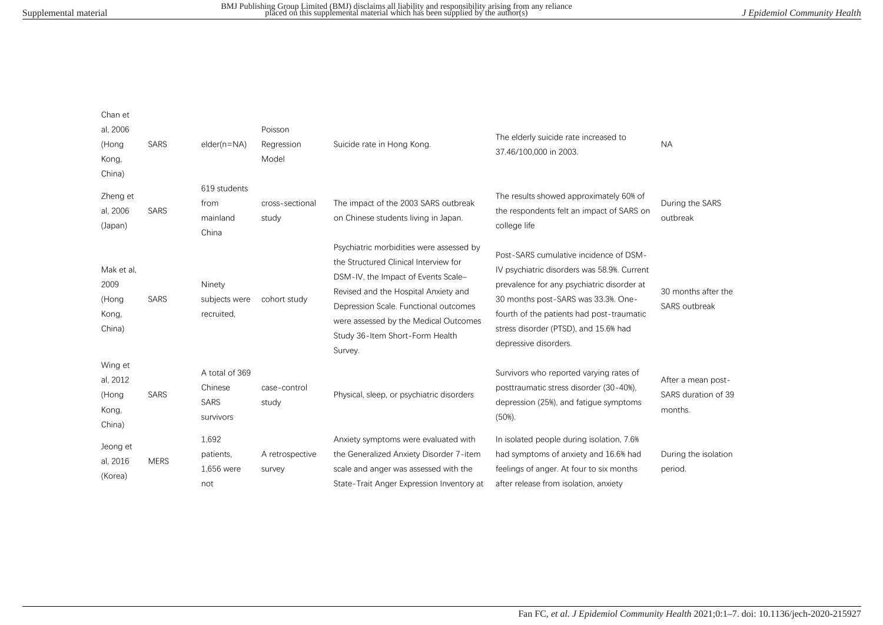| Chan et<br>al, 2006<br>(Hong<br>Kong,<br>China) | <b>SARS</b> | $elder(n=NA)$                                  | Poisson<br>Regression<br>Model | Suicide rate in Hong Kong.                                                                                                                                                                                                                                                                       | The elderly suicide rate increased to<br>37.46/100,000 in 2003.                                                                                                                                                                                                                           | <b>NA</b>                                            |
|-------------------------------------------------|-------------|------------------------------------------------|--------------------------------|--------------------------------------------------------------------------------------------------------------------------------------------------------------------------------------------------------------------------------------------------------------------------------------------------|-------------------------------------------------------------------------------------------------------------------------------------------------------------------------------------------------------------------------------------------------------------------------------------------|------------------------------------------------------|
| Zheng et<br>al, 2006<br>(Japan)                 | SARS        | 619 students<br>from<br>mainland<br>China      | cross-sectional<br>study       | The impact of the 2003 SARS outbreak<br>on Chinese students living in Japan.                                                                                                                                                                                                                     | The results showed approximately 60% of<br>the respondents felt an impact of SARS on<br>college life                                                                                                                                                                                      | During the SARS<br>outbreak                          |
| Mak et al.<br>2009<br>(Hong<br>Kong,<br>China)  | SARS        | Ninety<br>subjects were<br>recruited,          | cohort study                   | Psychiatric morbidities were assessed by<br>the Structured Clinical Interview for<br>DSM-IV, the Impact of Events Scale-<br>Revised and the Hospital Anxiety and<br>Depression Scale. Functional outcomes<br>were assessed by the Medical Outcomes<br>Study 36-Item Short-Form Health<br>Survey. | Post-SARS cumulative incidence of DSM-<br>IV psychiatric disorders was 58.9%. Current<br>prevalence for any psychiatric disorder at<br>30 months post-SARS was 33.3%. One-<br>fourth of the patients had post-traumatic<br>stress disorder (PTSD), and 15.6% had<br>depressive disorders. | 30 months after the<br>SARS outbreak                 |
| Wing et<br>al, 2012<br>(Hong<br>Kong,<br>China) | <b>SARS</b> | A total of 369<br>Chinese<br>SARS<br>survivors | case-control<br>study          | Physical, sleep, or psychiatric disorders                                                                                                                                                                                                                                                        | Survivors who reported varying rates of<br>posttraumatic stress disorder (30-40%).<br>depression (25%), and fatigue symptoms<br>(50%).                                                                                                                                                    | After a mean post-<br>SARS duration of 39<br>months. |
| Jeong et<br>al, 2016<br>(Korea)                 | <b>MERS</b> | 1,692<br>patients,<br>1,656 were<br>not        | A retrospective<br>survey      | Anxiety symptoms were evaluated with<br>the Generalized Anxiety Disorder 7-item<br>scale and anger was assessed with the<br>State-Trait Anger Expression Inventory at                                                                                                                            | In isolated people during isolation, 7.6%<br>had symptoms of anxiety and 16.6% had<br>feelings of anger. At four to six months<br>after release from isolation, anxiety                                                                                                                   | During the isolation<br>period.                      |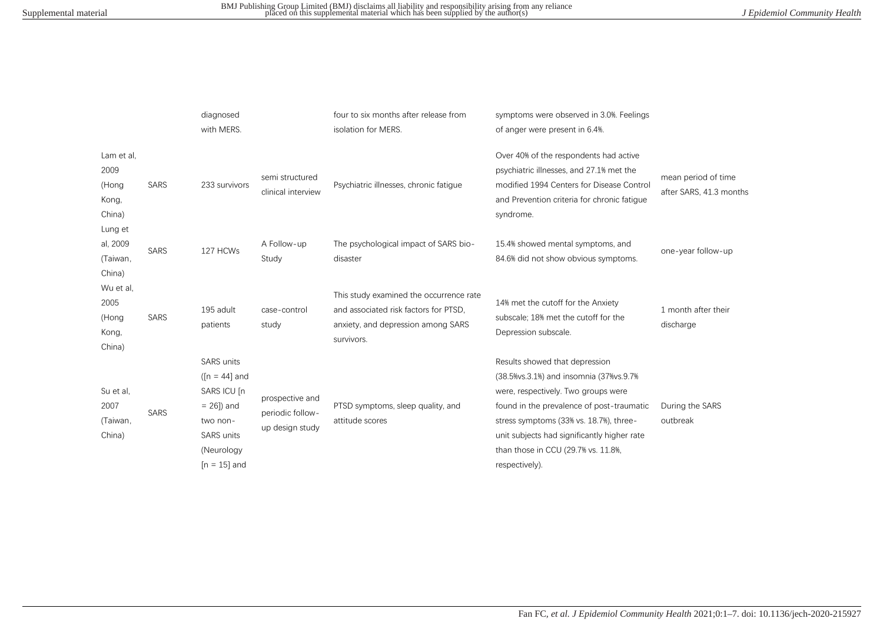|                                                |             | diagnosed<br>with MERS.                                                                                                          |                                                        | four to six months after release from<br>isolation for MERS.                                                                         | symptoms were observed in 3.0%. Feelings<br>of anger were present in 6.4%.                                                                                                                                                                                                                                            |                                                |
|------------------------------------------------|-------------|----------------------------------------------------------------------------------------------------------------------------------|--------------------------------------------------------|--------------------------------------------------------------------------------------------------------------------------------------|-----------------------------------------------------------------------------------------------------------------------------------------------------------------------------------------------------------------------------------------------------------------------------------------------------------------------|------------------------------------------------|
| Lam et al.<br>2009<br>(Hong<br>Kong,<br>China) | SARS        | 233 survivors                                                                                                                    | semi structured<br>clinical interview                  | Psychiatric illnesses, chronic fatigue                                                                                               | Over 40% of the respondents had active<br>psychiatric illnesses, and 27.1% met the<br>modified 1994 Centers for Disease Control<br>and Prevention criteria for chronic fatique<br>syndrome.                                                                                                                           | mean period of time<br>after SARS, 41.3 months |
| Lung et<br>al, 2009<br>(Taiwan,<br>China)      | <b>SARS</b> | 127 HCWs                                                                                                                         | A Follow-up<br>Study                                   | The psychological impact of SARS bio-<br>disaster                                                                                    | 15.4% showed mental symptoms, and<br>84.6% did not show obvious symptoms.                                                                                                                                                                                                                                             | one-year follow-up                             |
| Wu et al.<br>2005<br>(Hong<br>Kong,<br>China)  | SARS        | 195 adult<br>patients                                                                                                            | case-control<br>study                                  | This study examined the occurrence rate<br>and associated risk factors for PTSD,<br>anxiety, and depression among SARS<br>survivors. | 14% met the cutoff for the Anxiety<br>subscale; 18% met the cutoff for the<br>Depression subscale.                                                                                                                                                                                                                    | 1 month after their<br>discharge               |
| Su et al,<br>2007<br>(Taiwan,<br>China)        | <b>SARS</b> | <b>SARS</b> units<br>( $[n = 44]$ and<br>SARS ICU [n]<br>$= 26$ ]) and<br>two non-<br>SARS units<br>(Neurology<br>$[n = 15]$ and | prospective and<br>periodic follow-<br>up design study | PTSD symptoms, sleep quality, and<br>attitude scores                                                                                 | Results showed that depression<br>(38.5% vs. 3.1%) and insomnia (37% vs. 9.7%)<br>were, respectively. Two groups were<br>found in the prevalence of post-traumatic<br>stress symptoms (33% vs. 18.7%), three-<br>unit subjects had significantly higher rate<br>than those in CCU (29.7% vs. 11.8%,<br>respectively). | During the SARS<br>outbreak                    |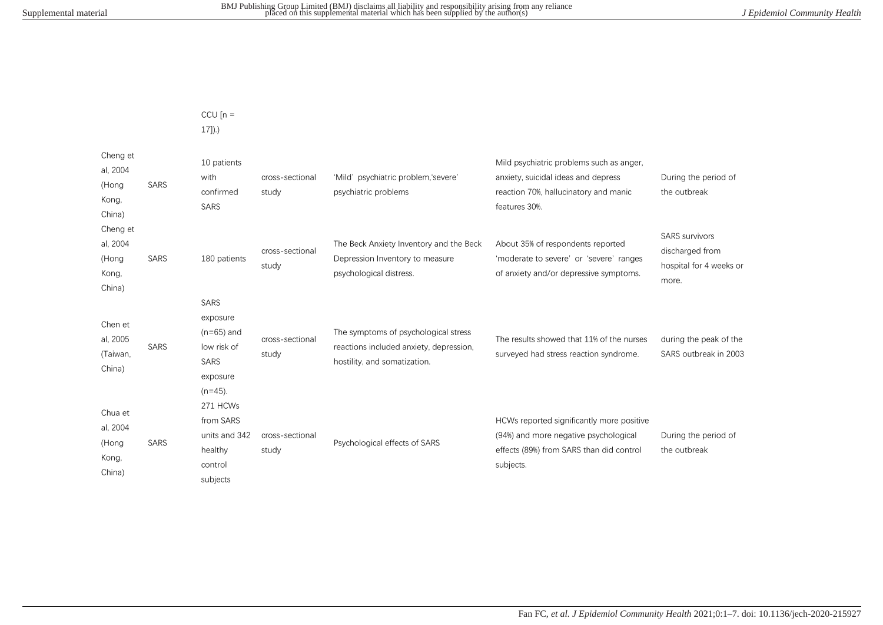CCU  $[n =$ 

17]).)

| Cheng et<br>al, 2004<br>(Hong<br>Kong,<br>China) | <b>SARS</b> | 10 patients<br>with<br>confirmed<br>SARS                                                 | cross-sectional<br>study | 'Mild' psychiatric problem,'severe'<br>psychiatric problems                                                     | Mild psychiatric problems such as anger,<br>anxiety, suicidal ideas and depress<br>reaction 70%, hallucinatory and manic<br>features 30%.   | During the period of<br>the outbreak                                         |
|--------------------------------------------------|-------------|------------------------------------------------------------------------------------------|--------------------------|-----------------------------------------------------------------------------------------------------------------|---------------------------------------------------------------------------------------------------------------------------------------------|------------------------------------------------------------------------------|
| Cheng et<br>al, 2004<br>(Hong<br>Kong,<br>China) | <b>SARS</b> | 180 patients                                                                             | cross-sectional<br>study | The Beck Anxiety Inventory and the Beck<br>Depression Inventory to measure<br>psychological distress.           | About 35% of respondents reported<br>'moderate to severe' or 'severe' ranges<br>of anxiety and/or depressive symptoms.                      | <b>SARS</b> survivors<br>discharged from<br>hospital for 4 weeks or<br>more. |
| Chen et<br>al, 2005<br>(Taiwan,<br>China)        | <b>SARS</b> | SARS<br>exposure<br>$(n=65)$ and<br>low risk of<br><b>SARS</b><br>exposure<br>$(n=45)$ . | cross-sectional<br>study | The symptoms of psychological stress<br>reactions included anxiety, depression,<br>hostility, and somatization. | The results showed that 11% of the nurses<br>surveyed had stress reaction syndrome.                                                         | during the peak of the<br>SARS outbreak in 2003                              |
| Chua et<br>al, 2004<br>(Hong<br>Kong,<br>China)  | SARS        | 271 HCWs<br>from SARS<br>units and 342<br>healthy<br>control<br>subjects                 | cross-sectional<br>study | Psychological effects of SARS                                                                                   | HCWs reported significantly more positive<br>(94%) and more negative psychological<br>effects (89%) from SARS than did control<br>subjects. | During the period of<br>the outbreak                                         |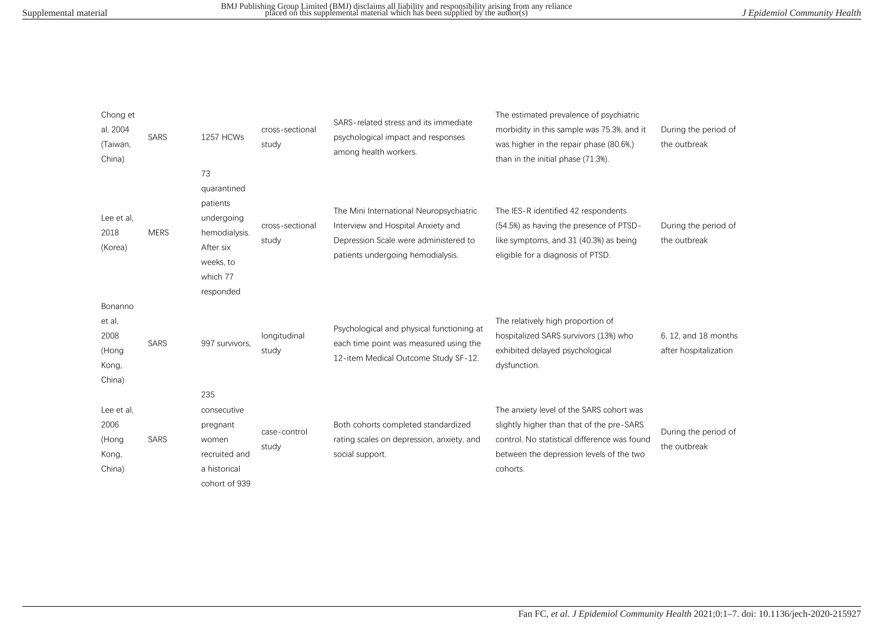| Chong et<br>al, 2004<br>(Taiwan,<br>China)            | <b>SARS</b> | 1257 HCWs                                                                                                       | cross-sectional<br>study | SARS-related stress and its immediate<br>psychological impact and responses<br>among health workers.                                                        | The estimated prevalence of psychiatric<br>morbidity in this sample was 75.3%, and it<br>was higher in the repair phase (80.6%)<br>than in the initial phase (71.3%).                         | During the period of<br>the outbreak          |
|-------------------------------------------------------|-------------|-----------------------------------------------------------------------------------------------------------------|--------------------------|-------------------------------------------------------------------------------------------------------------------------------------------------------------|-----------------------------------------------------------------------------------------------------------------------------------------------------------------------------------------------|-----------------------------------------------|
| Lee et al,<br>2018<br>(Korea)                         | <b>MERS</b> | 73<br>quarantined<br>patients<br>undergoing<br>hemodialysis.<br>After six<br>weeks, to<br>which 77<br>responded | cross-sectional<br>study | The Mini International Neuropsychiatric<br>Interview and Hospital Anxiety and<br>Depression Scale were administered to<br>patients undergoing hemodialysis. | The IES-R identified 42 respondents<br>(54.5%) as having the presence of PTSD-<br>like symptoms, and 31 (40.3%) as being<br>eligible for a diagnosis of PTSD.                                 | During the period of<br>the outbreak          |
| Bonanno<br>et al,<br>2008<br>(Hong<br>Kong,<br>China) | <b>SARS</b> | 997 survivors,                                                                                                  | longitudinal<br>study    | Psychological and physical functioning at<br>each time point was measured using the<br>12-item Medical Outcome Study SF-12.                                 | The relatively high proportion of<br>hospitalized SARS survivors (13%) who<br>exhibited delayed psychological<br>dysfunction.                                                                 | 6, 12, and 18 months<br>after hospitalization |
| Lee et al.<br>2006<br>(Hong<br>Kong,<br>China)        | SARS        | 235<br>consecutive<br>pregnant<br>women<br>recruited and<br>a historical<br>cohort of 939                       | case-control<br>study    | Both cohorts completed standardized<br>rating scales on depression, anxiety, and<br>social support.                                                         | The anxiety level of the SARS cohort was<br>slightly higher than that of the pre-SARS<br>control. No statistical difference was found<br>between the depression levels of the two<br>cohorts. | During the period of<br>the outbreak          |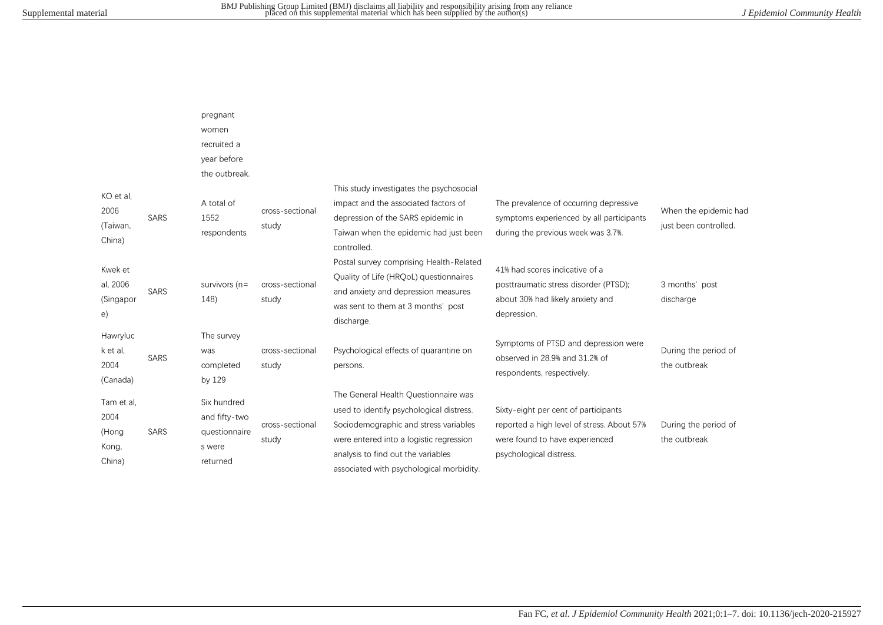|                                                |             | pregnant<br>women<br>recruited a<br>year before<br>the outbreak.    |                          |                                                                                                                                                                                                                                                        |                                                                                                                                                 |                                                |
|------------------------------------------------|-------------|---------------------------------------------------------------------|--------------------------|--------------------------------------------------------------------------------------------------------------------------------------------------------------------------------------------------------------------------------------------------------|-------------------------------------------------------------------------------------------------------------------------------------------------|------------------------------------------------|
| KO et al.<br>2006<br>(Taiwan,<br>China)        | <b>SARS</b> | A total of<br>1552<br>respondents                                   | cross-sectional<br>study | This study investigates the psychosocial<br>impact and the associated factors of<br>depression of the SARS epidemic in<br>Taiwan when the epidemic had just been<br>controlled.                                                                        | The prevalence of occurring depressive<br>symptoms experienced by all participants<br>during the previous week was 3.7%.                        | When the epidemic had<br>just been controlled. |
| Kwek et<br>al, 2006<br>(Singapor<br>e)         | <b>SARS</b> | survivors $(n=$<br>148)                                             | cross-sectional<br>study | Postal survey comprising Health-Related<br>Quality of Life (HRQoL) questionnaires<br>and anxiety and depression measures<br>was sent to them at 3 months' post<br>discharge.                                                                           | 41% had scores indicative of a<br>posttraumatic stress disorder (PTSD);<br>about 30% had likely anxiety and<br>depression.                      | 3 months' post<br>discharge                    |
| Hawryluc<br>k et al.<br>2004<br>(Canada)       | <b>SARS</b> | The survey<br>was<br>completed<br>by 129                            | cross-sectional<br>study | Psychological effects of quarantine on<br>persons.                                                                                                                                                                                                     | Symptoms of PTSD and depression were<br>observed in 28.9% and 31.2% of<br>respondents, respectively.                                            | During the period of<br>the outbreak           |
| Tam et al.<br>2004<br>(Hong<br>Kong,<br>China) | SARS        | Six hundred<br>and fifty-two<br>questionnaire<br>s were<br>returned | cross-sectional<br>study | The General Health Ouestionnaire was<br>used to identify psychological distress.<br>Sociodemographic and stress variables<br>were entered into a logistic regression<br>analysis to find out the variables<br>associated with psychological morbidity. | Sixty-eight per cent of participants<br>reported a high level of stress. About 57%<br>were found to have experienced<br>psychological distress. | During the period of<br>the outbreak           |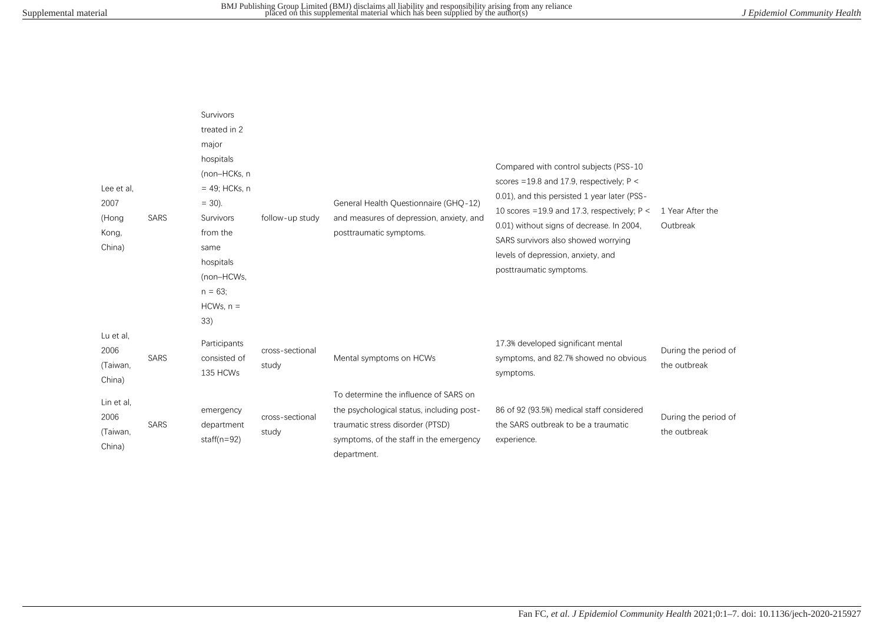| Lee et al.<br>2007<br>(Hong<br>Kong,<br>China) | <b>SARS</b> | Survivors<br>treated in 2<br>major<br>hospitals<br>(non-HCKs, n<br>$= 49$ ; HCKs, n<br>$= 30$ ).<br>Survivors<br>from the<br>same<br>hospitals<br>(non-HCWs,<br>$n = 63$<br>$HCWs, n =$ | follow-up study          | General Health Questionnaire (GHQ-12)<br>and measures of depression, anxiety, and<br>posttraumatic symptoms.                                                                     | Compared with control subjects (PSS-10<br>scores = 19.8 and 17.9, respectively; $P <$<br>0.01), and this persisted 1 year later (PSS-<br>10 scores = 19.9 and 17.3, respectively; $P <$<br>0.01) without signs of decrease. In 2004,<br>SARS survivors also showed worrying<br>levels of depression, anxiety, and<br>posttraumatic symptoms. | 1 Year After the<br>Outbreak         |
|------------------------------------------------|-------------|-----------------------------------------------------------------------------------------------------------------------------------------------------------------------------------------|--------------------------|----------------------------------------------------------------------------------------------------------------------------------------------------------------------------------|----------------------------------------------------------------------------------------------------------------------------------------------------------------------------------------------------------------------------------------------------------------------------------------------------------------------------------------------|--------------------------------------|
| Lu et al,<br>2006<br>(Taiwan,<br>China)        | <b>SARS</b> | 33)<br>Participants<br>consisted of<br>135 HCWs                                                                                                                                         | cross-sectional<br>study | Mental symptoms on HCWs                                                                                                                                                          | 17.3% developed significant mental<br>symptoms, and 82.7% showed no obvious<br>symptoms.                                                                                                                                                                                                                                                     | During the period of<br>the outbreak |
| Lin et al,<br>2006<br>(Taiwan,<br>China)       | <b>SARS</b> | emergency<br>department<br>staff( $n=92$ )                                                                                                                                              | cross-sectional<br>study | To determine the influence of SARS on<br>the psychological status, including post-<br>traumatic stress disorder (PTSD)<br>symptoms, of the staff in the emergency<br>department. | 86 of 92 (93.5%) medical staff considered<br>the SARS outbreak to be a traumatic<br>experience.                                                                                                                                                                                                                                              | During the period of<br>the outbreak |